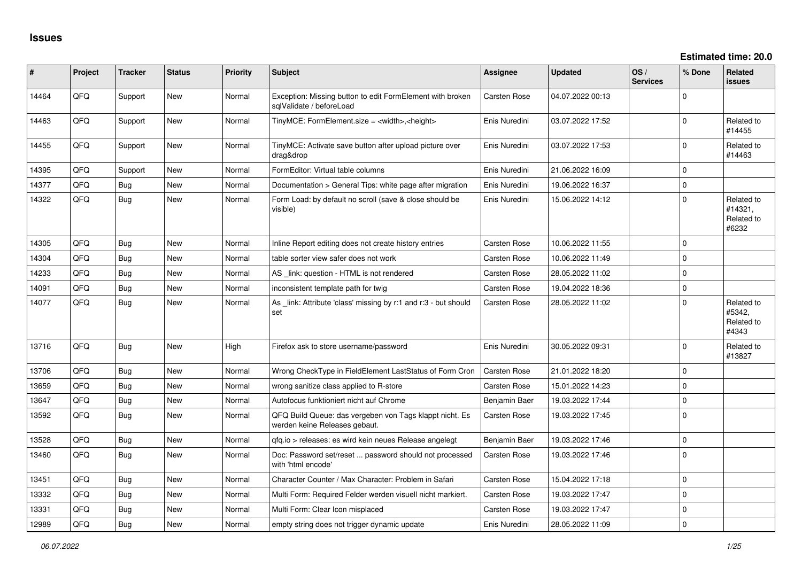| #     | Project | <b>Tracker</b> | <b>Status</b> | <b>Priority</b> | <b>Subject</b>                                                                           | <b>Assignee</b>     | <b>Updated</b>   | OS/<br><b>Services</b> | % Done      | Related<br><b>issues</b>                     |
|-------|---------|----------------|---------------|-----------------|------------------------------------------------------------------------------------------|---------------------|------------------|------------------------|-------------|----------------------------------------------|
| 14464 | QFQ     | Support        | <b>New</b>    | Normal          | Exception: Missing button to edit FormElement with broken<br>sqlValidate / beforeLoad    | Carsten Rose        | 04.07.2022 00:13 |                        | $\Omega$    |                                              |
| 14463 | QFQ     | Support        | New           | Normal          | TinyMCE: FormElement.size = <width>,<height></height></width>                            | Enis Nuredini       | 03.07.2022 17:52 |                        | $\Omega$    | Related to<br>#14455                         |
| 14455 | QFQ     | Support        | <b>New</b>    | Normal          | TinyMCE: Activate save button after upload picture over<br>drag&drop                     | Enis Nuredini       | 03.07.2022 17:53 |                        | $\Omega$    | Related to<br>#14463                         |
| 14395 | QFQ     | Support        | <b>New</b>    | Normal          | FormEditor: Virtual table columns                                                        | Enis Nuredini       | 21.06.2022 16:09 |                        | $\Omega$    |                                              |
| 14377 | QFQ     | Bug            | <b>New</b>    | Normal          | Documentation > General Tips: white page after migration                                 | Enis Nuredini       | 19.06.2022 16:37 |                        | $\mathbf 0$ |                                              |
| 14322 | QFQ     | Bug            | <b>New</b>    | Normal          | Form Load: by default no scroll (save & close should be<br>visible)                      | Enis Nuredini       | 15.06.2022 14:12 |                        | $\Omega$    | Related to<br>#14321,<br>Related to<br>#6232 |
| 14305 | QFQ     | Bug            | <b>New</b>    | Normal          | Inline Report editing does not create history entries                                    | Carsten Rose        | 10.06.2022 11:55 |                        | $\Omega$    |                                              |
| 14304 | QFQ     | Bug            | <b>New</b>    | Normal          | table sorter view safer does not work                                                    | Carsten Rose        | 10.06.2022 11:49 |                        | $\Omega$    |                                              |
| 14233 | QFQ     | Bug            | New           | Normal          | AS _link: question - HTML is not rendered                                                | Carsten Rose        | 28.05.2022 11:02 |                        | $\Omega$    |                                              |
| 14091 | QFQ     | <b>Bug</b>     | <b>New</b>    | Normal          | inconsistent template path for twig                                                      | <b>Carsten Rose</b> | 19.04.2022 18:36 |                        | $\Omega$    |                                              |
| 14077 | QFQ     | Bug            | <b>New</b>    | Normal          | As _link: Attribute 'class' missing by r:1 and r:3 - but should<br>set                   | Carsten Rose        | 28.05.2022 11:02 |                        | $\Omega$    | Related to<br>#5342,<br>Related to<br>#4343  |
| 13716 | QFQ     | Bug            | <b>New</b>    | High            | Firefox ask to store username/password                                                   | Enis Nuredini       | 30.05.2022 09:31 |                        | $\Omega$    | Related to<br>#13827                         |
| 13706 | QFQ     | Bug            | <b>New</b>    | Normal          | Wrong CheckType in FieldElement LastStatus of Form Cron                                  | <b>Carsten Rose</b> | 21.01.2022 18:20 |                        | $\Omega$    |                                              |
| 13659 | QFQ     | Bug            | <b>New</b>    | Normal          | wrong sanitize class applied to R-store                                                  | <b>Carsten Rose</b> | 15.01.2022 14:23 |                        | $\Omega$    |                                              |
| 13647 | QFQ     | Bug            | <b>New</b>    | Normal          | Autofocus funktioniert nicht auf Chrome                                                  | Benjamin Baer       | 19.03.2022 17:44 |                        | $\Omega$    |                                              |
| 13592 | QFQ     | Bug            | <b>New</b>    | Normal          | QFQ Build Queue: das vergeben von Tags klappt nicht. Es<br>werden keine Releases gebaut. | Carsten Rose        | 19.03.2022 17:45 |                        | $\Omega$    |                                              |
| 13528 | QFQ     | Bug            | <b>New</b>    | Normal          | qfq.io > releases: es wird kein neues Release angelegt                                   | Benjamin Baer       | 19.03.2022 17:46 |                        | $\mathbf 0$ |                                              |
| 13460 | QFQ     | Bug            | <b>New</b>    | Normal          | Doc: Password set/reset  password should not processed<br>with 'html encode'             | Carsten Rose        | 19.03.2022 17:46 |                        | $\Omega$    |                                              |
| 13451 | QFQ     | <b>Bug</b>     | <b>New</b>    | Normal          | Character Counter / Max Character: Problem in Safari                                     | Carsten Rose        | 15.04.2022 17:18 |                        | $\mathbf 0$ |                                              |
| 13332 | QFQ     | Bug            | <b>New</b>    | Normal          | Multi Form: Required Felder werden visuell nicht markiert.                               | <b>Carsten Rose</b> | 19.03.2022 17:47 |                        | $\Omega$    |                                              |
| 13331 | QFQ     | Bug            | <b>New</b>    | Normal          | Multi Form: Clear Icon misplaced                                                         | <b>Carsten Rose</b> | 19.03.2022 17:47 |                        | $\mathbf 0$ |                                              |
| 12989 | QFQ     | <b>Bug</b>     | New           | Normal          | empty string does not trigger dynamic update                                             | Enis Nuredini       | 28.05.2022 11:09 |                        | $\Omega$    |                                              |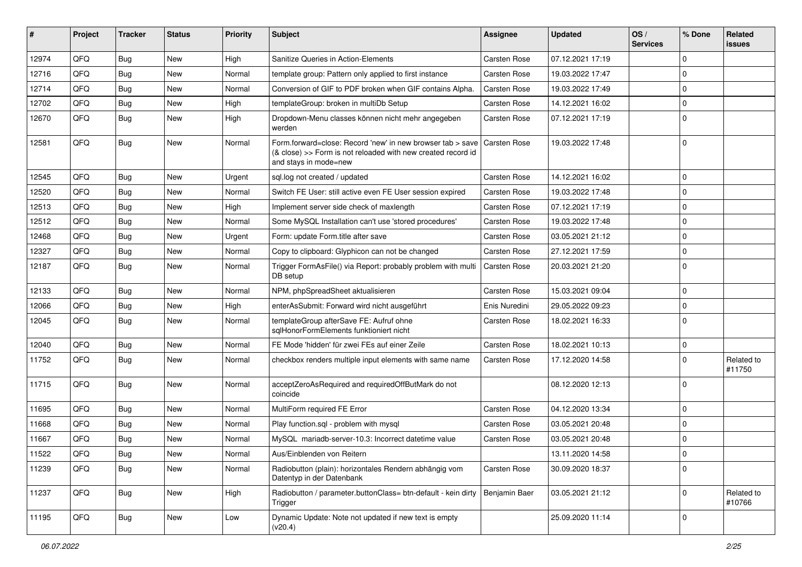| #     | Project | <b>Tracker</b> | <b>Status</b> | <b>Priority</b> | <b>Subject</b>                                                                                                                                      | Assignee            | <b>Updated</b>   | OS/<br><b>Services</b> | % Done      | Related<br><b>issues</b> |
|-------|---------|----------------|---------------|-----------------|-----------------------------------------------------------------------------------------------------------------------------------------------------|---------------------|------------------|------------------------|-------------|--------------------------|
| 12974 | QFQ     | Bug            | New           | High            | Sanitize Queries in Action-Elements                                                                                                                 | <b>Carsten Rose</b> | 07.12.2021 17:19 |                        | $\Omega$    |                          |
| 12716 | QFQ     | Bug            | New           | Normal          | template group: Pattern only applied to first instance                                                                                              | <b>Carsten Rose</b> | 19.03.2022 17:47 |                        | $\Omega$    |                          |
| 12714 | QFQ     | <b>Bug</b>     | New           | Normal          | Conversion of GIF to PDF broken when GIF contains Alpha.                                                                                            | <b>Carsten Rose</b> | 19.03.2022 17:49 |                        | $\Omega$    |                          |
| 12702 | QFQ     | Bug            | New           | High            | templateGroup: broken in multiDb Setup                                                                                                              | Carsten Rose        | 14.12.2021 16:02 |                        | $\Omega$    |                          |
| 12670 | QFQ     | Bug            | <b>New</b>    | High            | Dropdown-Menu classes können nicht mehr angegeben<br>werden                                                                                         | <b>Carsten Rose</b> | 07.12.2021 17:19 |                        | $\Omega$    |                          |
| 12581 | QFQ     | <b>Bug</b>     | <b>New</b>    | Normal          | Form.forward=close: Record 'new' in new browser tab > save<br>(& close) >> Form is not reloaded with new created record id<br>and stays in mode=new | <b>Carsten Rose</b> | 19.03.2022 17:48 |                        | 0           |                          |
| 12545 | QFQ     | <b>Bug</b>     | New           | Urgent          | sql.log not created / updated                                                                                                                       | <b>Carsten Rose</b> | 14.12.2021 16:02 |                        | 0           |                          |
| 12520 | QFQ     | <b>Bug</b>     | New           | Normal          | Switch FE User: still active even FE User session expired                                                                                           | <b>Carsten Rose</b> | 19.03.2022 17:48 |                        | $\Omega$    |                          |
| 12513 | QFQ     | Bug            | New           | High            | Implement server side check of maxlength                                                                                                            | <b>Carsten Rose</b> | 07.12.2021 17:19 |                        | 0           |                          |
| 12512 | QFQ     | <b>Bug</b>     | New           | Normal          | Some MySQL Installation can't use 'stored procedures'                                                                                               | <b>Carsten Rose</b> | 19.03.2022 17:48 |                        | $\Omega$    |                          |
| 12468 | QFQ     | Bug            | New           | Urgent          | Form: update Form.title after save                                                                                                                  | <b>Carsten Rose</b> | 03.05.2021 21:12 |                        | 0           |                          |
| 12327 | QFQ     | <b>Bug</b>     | New           | Normal          | Copy to clipboard: Glyphicon can not be changed                                                                                                     | <b>Carsten Rose</b> | 27.12.2021 17:59 |                        | 0           |                          |
| 12187 | QFQ     | <b>Bug</b>     | New           | Normal          | Trigger FormAsFile() via Report: probably problem with multi<br>DB setup                                                                            | <b>Carsten Rose</b> | 20.03.2021 21:20 |                        | $\Omega$    |                          |
| 12133 | QFQ     | <b>Bug</b>     | <b>New</b>    | Normal          | NPM, phpSpreadSheet aktualisieren                                                                                                                   | <b>Carsten Rose</b> | 15.03.2021 09:04 |                        | $\mathbf 0$ |                          |
| 12066 | QFQ     | <b>Bug</b>     | New           | High            | enterAsSubmit: Forward wird nicht ausgeführt                                                                                                        | Enis Nuredini       | 29.05.2022 09:23 |                        | $\Omega$    |                          |
| 12045 | QFQ     | <b>Bug</b>     | New           | Normal          | templateGroup afterSave FE: Aufruf ohne<br>sglHonorFormElements funktioniert nicht                                                                  | <b>Carsten Rose</b> | 18.02.2021 16:33 |                        | $\Omega$    |                          |
| 12040 | QFQ     | Bug            | New           | Normal          | FE Mode 'hidden' für zwei FEs auf einer Zeile                                                                                                       | <b>Carsten Rose</b> | 18.02.2021 10:13 |                        | 0           |                          |
| 11752 | QFQ     | Bug            | <b>New</b>    | Normal          | checkbox renders multiple input elements with same name                                                                                             | <b>Carsten Rose</b> | 17.12.2020 14:58 |                        | 0           | Related to<br>#11750     |
| 11715 | QFQ     | Bug            | <b>New</b>    | Normal          | acceptZeroAsRequired and requiredOffButMark do not<br>coincide                                                                                      |                     | 08.12.2020 12:13 |                        | $\Omega$    |                          |
| 11695 | QFQ     | <b>Bug</b>     | New           | Normal          | MultiForm required FE Error                                                                                                                         | Carsten Rose        | 04.12.2020 13:34 |                        | $\Omega$    |                          |
| 11668 | QFQ     | Bug            | New           | Normal          | Play function.sql - problem with mysql                                                                                                              | <b>Carsten Rose</b> | 03.05.2021 20:48 |                        | 0           |                          |
| 11667 | QFQ     | Bug            | New           | Normal          | MySQL mariadb-server-10.3: Incorrect datetime value                                                                                                 | <b>Carsten Rose</b> | 03.05.2021 20:48 |                        | 0           |                          |
| 11522 | QFQ     | Bug            | New           | Normal          | Aus/Einblenden von Reitern                                                                                                                          |                     | 13.11.2020 14:58 |                        | 0           |                          |
| 11239 | QFQ     | <b>Bug</b>     | New           | Normal          | Radiobutton (plain): horizontales Rendern abhängig vom<br>Datentyp in der Datenbank                                                                 | Carsten Rose        | 30.09.2020 18:37 |                        | $\Omega$    |                          |
| 11237 | QFQ     | <b>Bug</b>     | New           | High            | Radiobutton / parameter.buttonClass= btn-default - kein dirty<br>Trigger                                                                            | Benjamin Baer       | 03.05.2021 21:12 |                        | $\mathbf 0$ | Related to<br>#10766     |
| 11195 | QFQ     | <b>Bug</b>     | New           | Low             | Dynamic Update: Note not updated if new text is empty<br>(v20.4)                                                                                    |                     | 25.09.2020 11:14 |                        | 0           |                          |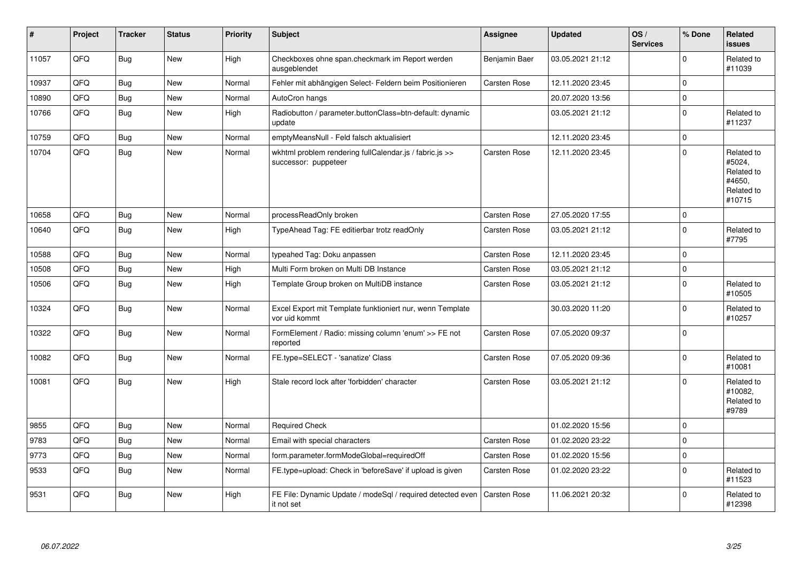| #     | Project | <b>Tracker</b> | <b>Status</b> | <b>Priority</b> | <b>Subject</b>                                                                  | Assignee            | <b>Updated</b>   | OS/<br><b>Services</b> | % Done      | Related<br>issues                                                    |
|-------|---------|----------------|---------------|-----------------|---------------------------------------------------------------------------------|---------------------|------------------|------------------------|-------------|----------------------------------------------------------------------|
| 11057 | QFQ     | Bug            | <b>New</b>    | High            | Checkboxes ohne span.checkmark im Report werden<br>ausgeblendet                 | Benjamin Baer       | 03.05.2021 21:12 |                        | $\Omega$    | Related to<br>#11039                                                 |
| 10937 | QFQ     | <b>Bug</b>     | <b>New</b>    | Normal          | Fehler mit abhängigen Select- Feldern beim Positionieren                        | <b>Carsten Rose</b> | 12.11.2020 23:45 |                        | $\mathbf 0$ |                                                                      |
| 10890 | QFQ     | <b>Bug</b>     | <b>New</b>    | Normal          | AutoCron hangs                                                                  |                     | 20.07.2020 13:56 |                        | $\mathbf 0$ |                                                                      |
| 10766 | QFQ     | <b>Bug</b>     | <b>New</b>    | High            | Radiobutton / parameter.buttonClass=btn-default: dynamic<br>update              |                     | 03.05.2021 21:12 |                        | $\pmb{0}$   | Related to<br>#11237                                                 |
| 10759 | QFQ     | Bug            | <b>New</b>    | Normal          | emptyMeansNull - Feld falsch aktualisiert                                       |                     | 12.11.2020 23:45 |                        | 0           |                                                                      |
| 10704 | QFQ     | Bug            | New           | Normal          | wkhtml problem rendering fullCalendar.js / fabric.js >><br>successor: puppeteer | <b>Carsten Rose</b> | 12.11.2020 23:45 |                        | $\mathbf 0$ | Related to<br>#5024.<br>Related to<br>#4650.<br>Related to<br>#10715 |
| 10658 | QFQ     | <b>Bug</b>     | <b>New</b>    | Normal          | processReadOnly broken                                                          | Carsten Rose        | 27.05.2020 17:55 |                        | $\mathbf 0$ |                                                                      |
| 10640 | QFQ     | <b>Bug</b>     | <b>New</b>    | High            | TypeAhead Tag: FE editierbar trotz readOnly                                     | Carsten Rose        | 03.05.2021 21:12 |                        | $\mathbf 0$ | Related to<br>#7795                                                  |
| 10588 | QFQ     | Bug            | <b>New</b>    | Normal          | typeahed Tag: Doku anpassen                                                     | <b>Carsten Rose</b> | 12.11.2020 23:45 |                        | $\mathbf 0$ |                                                                      |
| 10508 | QFQ     | Bug            | <b>New</b>    | High            | Multi Form broken on Multi DB Instance                                          | Carsten Rose        | 03.05.2021 21:12 |                        | 0           |                                                                      |
| 10506 | QFQ     | Bug            | New           | High            | Template Group broken on MultiDB instance                                       | <b>Carsten Rose</b> | 03.05.2021 21:12 |                        | $\mathbf 0$ | Related to<br>#10505                                                 |
| 10324 | QFQ     | <b>Bug</b>     | <b>New</b>    | Normal          | Excel Export mit Template funktioniert nur, wenn Template<br>vor uid kommt      |                     | 30.03.2020 11:20 |                        | $\mathbf 0$ | Related to<br>#10257                                                 |
| 10322 | QFQ     | Bug            | New           | Normal          | FormElement / Radio: missing column 'enum' >> FE not<br>reported                | <b>Carsten Rose</b> | 07.05.2020 09:37 |                        | $\mathbf 0$ |                                                                      |
| 10082 | QFQ     | Bug            | <b>New</b>    | Normal          | FE.type=SELECT - 'sanatize' Class                                               | Carsten Rose        | 07.05.2020 09:36 |                        | $\mathbf 0$ | Related to<br>#10081                                                 |
| 10081 | QFQ     | Bug            | New           | High            | Stale record lock after 'forbidden' character                                   | Carsten Rose        | 03.05.2021 21:12 |                        | $\Omega$    | Related to<br>#10082,<br>Related to<br>#9789                         |
| 9855  | QFQ     | <b>Bug</b>     | <b>New</b>    | Normal          | <b>Required Check</b>                                                           |                     | 01.02.2020 15:56 |                        | $\mathbf 0$ |                                                                      |
| 9783  | QFQ     | <b>Bug</b>     | <b>New</b>    | Normal          | Email with special characters                                                   | <b>Carsten Rose</b> | 01.02.2020 23:22 |                        | $\Omega$    |                                                                      |
| 9773  | QFQ     | <b>Bug</b>     | <b>New</b>    | Normal          | form.parameter.formModeGlobal=requiredOff                                       | Carsten Rose        | 01.02.2020 15:56 |                        | $\pmb{0}$   |                                                                      |
| 9533  | QFQ     | Bug            | <b>New</b>    | Normal          | FE.type=upload: Check in 'beforeSave' if upload is given                        | Carsten Rose        | 01.02.2020 23:22 |                        | $\Omega$    | Related to<br>#11523                                                 |
| 9531  | QFQ     | Bug            | <b>New</b>    | High            | FE File: Dynamic Update / modeSgl / required detected even<br>it not set        | <b>Carsten Rose</b> | 11.06.2021 20:32 |                        | $\Omega$    | Related to<br>#12398                                                 |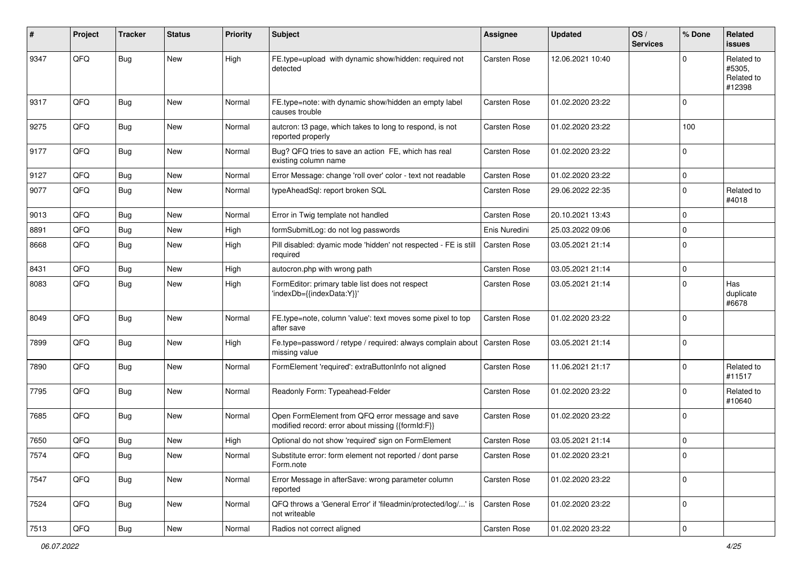| #    | Project | <b>Tracker</b> | <b>Status</b> | <b>Priority</b> | <b>Subject</b>                                                                                        | <b>Assignee</b>     | <b>Updated</b>   | OS/<br><b>Services</b> | % Done      | <b>Related</b><br><b>issues</b>              |
|------|---------|----------------|---------------|-----------------|-------------------------------------------------------------------------------------------------------|---------------------|------------------|------------------------|-------------|----------------------------------------------|
| 9347 | QFQ     | <b>Bug</b>     | <b>New</b>    | High            | FE.type=upload with dynamic show/hidden: required not<br>detected                                     | Carsten Rose        | 12.06.2021 10:40 |                        | $\Omega$    | Related to<br>#5305,<br>Related to<br>#12398 |
| 9317 | QFQ     | <b>Bug</b>     | <b>New</b>    | Normal          | FE.type=note: with dynamic show/hidden an empty label<br>causes trouble                               | Carsten Rose        | 01.02.2020 23:22 |                        | $\Omega$    |                                              |
| 9275 | QFQ     | Bug            | <b>New</b>    | Normal          | autcron: t3 page, which takes to long to respond, is not<br>reported properly                         | Carsten Rose        | 01.02.2020 23:22 |                        | 100         |                                              |
| 9177 | QFQ     | Bug            | New           | Normal          | Bug? QFQ tries to save an action FE, which has real<br>existing column name                           | <b>Carsten Rose</b> | 01.02.2020 23:22 |                        | $\mathbf 0$ |                                              |
| 9127 | QFQ     | Bug            | <b>New</b>    | Normal          | Error Message: change 'roll over' color - text not readable                                           | Carsten Rose        | 01.02.2020 23:22 |                        | $\mathbf 0$ |                                              |
| 9077 | QFQ     | <b>Bug</b>     | New           | Normal          | typeAheadSql: report broken SQL                                                                       | <b>Carsten Rose</b> | 29.06.2022 22:35 |                        | $\mathbf 0$ | Related to<br>#4018                          |
| 9013 | QFQ     | <b>Bug</b>     | <b>New</b>    | Normal          | Error in Twig template not handled                                                                    | Carsten Rose        | 20.10.2021 13:43 |                        | $\mathbf 0$ |                                              |
| 8891 | QFQ     | Bug            | New           | High            | formSubmitLog: do not log passwords                                                                   | Enis Nuredini       | 25.03.2022 09:06 |                        | $\mathbf 0$ |                                              |
| 8668 | QFQ     | <b>Bug</b>     | <b>New</b>    | High            | Pill disabled: dyamic mode 'hidden' not respected - FE is still<br>required                           | <b>Carsten Rose</b> | 03.05.2021 21:14 |                        | 0           |                                              |
| 8431 | QFQ     | <b>Bug</b>     | <b>New</b>    | High            | autocron.php with wrong path                                                                          | <b>Carsten Rose</b> | 03.05.2021 21:14 |                        | $\mathbf 0$ |                                              |
| 8083 | QFQ     | Bug            | New           | High            | FormEditor: primary table list does not respect<br>'indexDb={{indexData:Y}}'                          | Carsten Rose        | 03.05.2021 21:14 |                        | $\Omega$    | Has<br>duplicate<br>#6678                    |
| 8049 | QFQ     | Bug            | New           | Normal          | FE.type=note, column 'value': text moves some pixel to top<br>after save                              | Carsten Rose        | 01.02.2020 23:22 |                        | $\Omega$    |                                              |
| 7899 | QFQ     | Bug            | New           | High            | Fe.type=password / retype / required: always complain about<br>missing value                          | <b>Carsten Rose</b> | 03.05.2021 21:14 |                        | $\Omega$    |                                              |
| 7890 | QFQ     | Bug            | <b>New</b>    | Normal          | FormElement 'required': extraButtonInfo not aligned                                                   | Carsten Rose        | 11.06.2021 21:17 |                        | $\Omega$    | Related to<br>#11517                         |
| 7795 | QFQ     | Bug            | New           | Normal          | Readonly Form: Typeahead-Felder                                                                       | Carsten Rose        | 01.02.2020 23:22 |                        | $\Omega$    | Related to<br>#10640                         |
| 7685 | QFQ     | Bug            | <b>New</b>    | Normal          | Open FormElement from QFQ error message and save<br>modified record: error about missing {{formId:F}} | Carsten Rose        | 01.02.2020 23:22 |                        | $\Omega$    |                                              |
| 7650 | QFQ     | <b>Bug</b>     | New           | High            | Optional do not show 'required' sign on FormElement                                                   | Carsten Rose        | 03.05.2021 21:14 |                        | $\mathbf 0$ |                                              |
| 7574 | QFQ     | <b>Bug</b>     | New           | Normal          | Substitute error: form element not reported / dont parse<br>Form.note                                 | Carsten Rose        | 01.02.2020 23:21 |                        | 0           |                                              |
| 7547 | QFQ     | <b>Bug</b>     | New           | Normal          | Error Message in afterSave: wrong parameter column<br>reported                                        | Carsten Rose        | 01.02.2020 23:22 |                        | $\mathbf 0$ |                                              |
| 7524 | QFQ     | Bug            | New           | Normal          | QFQ throws a 'General Error' if 'fileadmin/protected/log/' is<br>not writeable                        | Carsten Rose        | 01.02.2020 23:22 |                        | $\mathbf 0$ |                                              |
| 7513 | QFG     | Bug            | New           | Normal          | Radios not correct aligned                                                                            | Carsten Rose        | 01.02.2020 23:22 |                        | $\pmb{0}$   |                                              |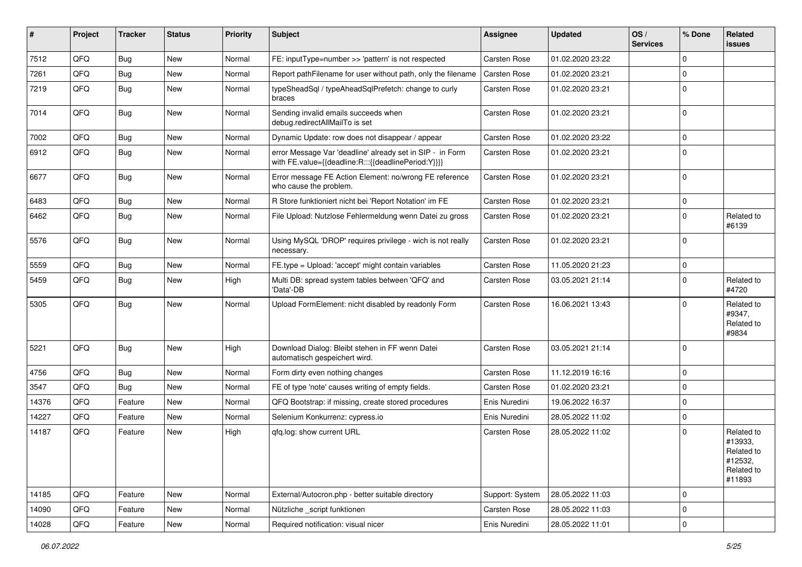| #     | Project | <b>Tracker</b> | <b>Status</b> | <b>Priority</b> | <b>Subject</b>                                                                                                   | Assignee            | <b>Updated</b>   | OS/<br><b>Services</b> | % Done         | Related<br><b>issues</b>                                               |
|-------|---------|----------------|---------------|-----------------|------------------------------------------------------------------------------------------------------------------|---------------------|------------------|------------------------|----------------|------------------------------------------------------------------------|
| 7512  | QFQ     | Bug            | New           | Normal          | FE: inputType=number >> 'pattern' is not respected                                                               | <b>Carsten Rose</b> | 01.02.2020 23:22 |                        | $\mathbf 0$    |                                                                        |
| 7261  | QFQ     | Bug            | New           | Normal          | Report pathFilename for user without path, only the filename                                                     | <b>Carsten Rose</b> | 01.02.2020 23:21 |                        | $\mathbf 0$    |                                                                        |
| 7219  | QFQ     | <b>Bug</b>     | New           | Normal          | typeSheadSgl / typeAheadSglPrefetch: change to curly<br>braces                                                   | <b>Carsten Rose</b> | 01.02.2020 23:21 |                        | $\Omega$       |                                                                        |
| 7014  | QFQ     | <b>Bug</b>     | New           | Normal          | Sending invalid emails succeeds when<br>debug.redirectAllMailTo is set                                           | Carsten Rose        | 01.02.2020 23:21 |                        | $\mathbf 0$    |                                                                        |
| 7002  | QFQ     | <b>Bug</b>     | <b>New</b>    | Normal          | Dynamic Update: row does not disappear / appear                                                                  | <b>Carsten Rose</b> | 01.02.2020 23:22 |                        | $\mathbf 0$    |                                                                        |
| 6912  | QFQ     | <b>Bug</b>     | <b>New</b>    | Normal          | error Message Var 'deadline' already set in SIP - in Form<br>with FE.value={{deadline:R:::{{deadlinePeriod:Y}}}} | <b>Carsten Rose</b> | 01.02.2020 23:21 |                        | $\Omega$       |                                                                        |
| 6677  | QFQ     | <b>Bug</b>     | <b>New</b>    | Normal          | Error message FE Action Element: no/wrong FE reference<br>who cause the problem.                                 | <b>Carsten Rose</b> | 01.02.2020 23:21 |                        | $\mathbf 0$    |                                                                        |
| 6483  | QFQ     | Bug            | <b>New</b>    | Normal          | R Store funktioniert nicht bei 'Report Notation' im FE                                                           | <b>Carsten Rose</b> | 01.02.2020 23:21 |                        | $\pmb{0}$      |                                                                        |
| 6462  | QFQ     | <b>Bug</b>     | <b>New</b>    | Normal          | File Upload: Nutzlose Fehlermeldung wenn Datei zu gross                                                          | <b>Carsten Rose</b> | 01.02.2020 23:21 |                        | $\mathbf 0$    | Related to<br>#6139                                                    |
| 5576  | QFQ     | Bug            | New           | Normal          | Using MySQL 'DROP' requires privilege - wich is not really<br>necessary.                                         | <b>Carsten Rose</b> | 01.02.2020 23:21 |                        | $\mathbf 0$    |                                                                        |
| 5559  | QFQ     | <b>Bug</b>     | <b>New</b>    | Normal          | FE.type = Upload: 'accept' might contain variables                                                               | Carsten Rose        | 11.05.2020 21:23 |                        | $\pmb{0}$      |                                                                        |
| 5459  | QFQ     | Bug            | <b>New</b>    | High            | Multi DB: spread system tables between 'QFQ' and<br>'Data'-DB                                                    | <b>Carsten Rose</b> | 03.05.2021 21:14 |                        | $\mathbf 0$    | Related to<br>#4720                                                    |
| 5305  | QFQ     | Bug            | New           | Normal          | Upload FormElement: nicht disabled by readonly Form                                                              | <b>Carsten Rose</b> | 16.06.2021 13:43 |                        | $\mathbf 0$    | Related to<br>#9347,<br>Related to<br>#9834                            |
| 5221  | QFQ     | <b>Bug</b>     | <b>New</b>    | High            | Download Dialog: Bleibt stehen in FF wenn Datei<br>automatisch gespeichert wird.                                 | <b>Carsten Rose</b> | 03.05.2021 21:14 |                        | $\mathbf 0$    |                                                                        |
| 4756  | QFQ     | Bug            | <b>New</b>    | Normal          | Form dirty even nothing changes                                                                                  | <b>Carsten Rose</b> | 11.12.2019 16:16 |                        | $\mathbf 0$    |                                                                        |
| 3547  | QFQ     | Bug            | New           | Normal          | FE of type 'note' causes writing of empty fields.                                                                | <b>Carsten Rose</b> | 01.02.2020 23:21 |                        | $\mathbf 0$    |                                                                        |
| 14376 | QFQ     | Feature        | New           | Normal          | QFQ Bootstrap: if missing, create stored procedures                                                              | Enis Nuredini       | 19.06.2022 16:37 |                        | $\overline{0}$ |                                                                        |
| 14227 | QFQ     | Feature        | New           | Normal          | Selenium Konkurrenz: cypress.io                                                                                  | Enis Nuredini       | 28.05.2022 11:02 |                        | $\pmb{0}$      |                                                                        |
| 14187 | QFQ     | Feature        | New           | High            | qfq.log: show current URL                                                                                        | <b>Carsten Rose</b> | 28.05.2022 11:02 |                        | $\mathbf 0$    | Related to<br>#13933,<br>Related to<br>#12532,<br>Related to<br>#11893 |
| 14185 | QFQ     | Feature        | New           | Normal          | External/Autocron.php - better suitable directory                                                                | Support: System     | 28.05.2022 11:03 |                        | $\mathbf 0$    |                                                                        |
| 14090 | QFQ     | Feature        | <b>New</b>    | Normal          | Nützliche _script funktionen                                                                                     | Carsten Rose        | 28.05.2022 11:03 |                        | 0              |                                                                        |
| 14028 | QFQ     | Feature        | New           | Normal          | Required notification: visual nicer                                                                              | Enis Nuredini       | 28.05.2022 11:01 |                        | $\pmb{0}$      |                                                                        |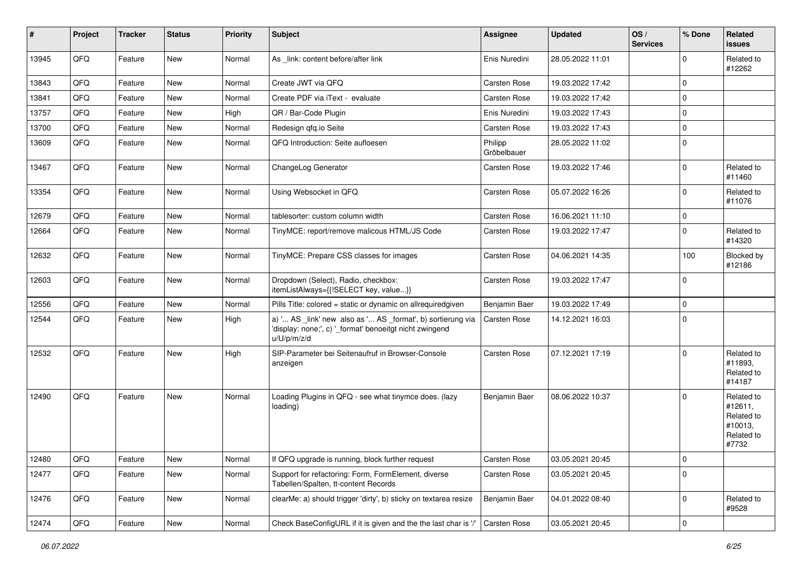| #     | Project | <b>Tracker</b> | <b>Status</b> | <b>Priority</b> | <b>Subject</b>                                                                                                                        | <b>Assignee</b>        | <b>Updated</b>   | OS/<br><b>Services</b> | % Done      | Related<br><b>issues</b>                                              |
|-------|---------|----------------|---------------|-----------------|---------------------------------------------------------------------------------------------------------------------------------------|------------------------|------------------|------------------------|-------------|-----------------------------------------------------------------------|
| 13945 | QFQ     | Feature        | New           | Normal          | As link: content before/after link                                                                                                    | Enis Nuredini          | 28.05.2022 11:01 |                        | $\mathbf 0$ | Related to<br>#12262                                                  |
| 13843 | QFQ     | Feature        | New           | Normal          | Create JWT via QFQ                                                                                                                    | <b>Carsten Rose</b>    | 19.03.2022 17:42 |                        | $\pmb{0}$   |                                                                       |
| 13841 | QFQ     | Feature        | New           | Normal          | Create PDF via iText - evaluate                                                                                                       | <b>Carsten Rose</b>    | 19.03.2022 17:42 |                        | $\pmb{0}$   |                                                                       |
| 13757 | QFQ     | Feature        | <b>New</b>    | High            | QR / Bar-Code Plugin                                                                                                                  | Enis Nuredini          | 19.03.2022 17:43 |                        | $\pmb{0}$   |                                                                       |
| 13700 | QFQ     | Feature        | <b>New</b>    | Normal          | Redesign qfq.io Seite                                                                                                                 | <b>Carsten Rose</b>    | 19.03.2022 17:43 |                        | $\pmb{0}$   |                                                                       |
| 13609 | QFQ     | Feature        | New           | Normal          | QFQ Introduction: Seite aufloesen                                                                                                     | Philipp<br>Gröbelbauer | 28.05.2022 11:02 |                        | $\pmb{0}$   |                                                                       |
| 13467 | QFQ     | Feature        | New           | Normal          | ChangeLog Generator                                                                                                                   | <b>Carsten Rose</b>    | 19.03.2022 17:46 |                        | $\pmb{0}$   | Related to<br>#11460                                                  |
| 13354 | QFQ     | Feature        | <b>New</b>    | Normal          | Using Websocket in QFQ                                                                                                                | Carsten Rose           | 05.07.2022 16:26 |                        | $\pmb{0}$   | Related to<br>#11076                                                  |
| 12679 | QFQ     | Feature        | <b>New</b>    | Normal          | tablesorter: custom column width                                                                                                      | <b>Carsten Rose</b>    | 16.06.2021 11:10 |                        | $\pmb{0}$   |                                                                       |
| 12664 | QFQ     | Feature        | <b>New</b>    | Normal          | TinyMCE: report/remove malicous HTML/JS Code                                                                                          | <b>Carsten Rose</b>    | 19.03.2022 17:47 |                        | $\mathbf 0$ | Related to<br>#14320                                                  |
| 12632 | QFQ     | Feature        | <b>New</b>    | Normal          | TinyMCE: Prepare CSS classes for images                                                                                               | Carsten Rose           | 04.06.2021 14:35 |                        | 100         | Blocked by<br>#12186                                                  |
| 12603 | QFQ     | Feature        | New           | Normal          | Dropdown (Select), Radio, checkbox:<br>itemListAlways={{!SELECT key, value}}                                                          | Carsten Rose           | 19.03.2022 17:47 |                        | $\pmb{0}$   |                                                                       |
| 12556 | QFQ     | Feature        | <b>New</b>    | Normal          | Pills Title: colored = static or dynamic on allrequiredgiven                                                                          | Benjamin Baer          | 19.03.2022 17:49 |                        | $\pmb{0}$   |                                                                       |
| 12544 | QFQ     | Feature        | <b>New</b>    | High            | a) ' AS _link' new also as ' AS _format', b) sortierung via<br>'display: none;', c) '_format' benoeitgt nicht zwingend<br>u/U/p/m/z/d | Carsten Rose           | 14.12.2021 16:03 |                        | $\pmb{0}$   |                                                                       |
| 12532 | QFQ     | Feature        | New           | High            | SIP-Parameter bei Seitenaufruf in Browser-Console<br>anzeigen                                                                         | Carsten Rose           | 07.12.2021 17:19 |                        | $\mathbf 0$ | Related to<br>#11893,<br>Related to<br>#14187                         |
| 12490 | QFQ     | Feature        | New           | Normal          | Loading Plugins in QFQ - see what tinymce does. (lazy<br>loading)                                                                     | Benjamin Baer          | 08.06.2022 10:37 |                        | $\mathbf 0$ | Related to<br>#12611,<br>Related to<br>#10013,<br>Related to<br>#7732 |
| 12480 | QFG     | Feature        | New           | Normal          | If QFQ upgrade is running, block further request                                                                                      | Carsten Rose           | 03.05.2021 20:45 |                        | $\pmb{0}$   |                                                                       |
| 12477 | QFQ     | Feature        | New           | Normal          | Support for refactoring: Form, FormElement, diverse<br>Tabellen/Spalten, tt-content Records                                           | Carsten Rose           | 03.05.2021 20:45 |                        | $\pmb{0}$   |                                                                       |
| 12476 | QFQ     | Feature        | New           | Normal          | clearMe: a) should trigger 'dirty', b) sticky on textarea resize                                                                      | Benjamin Baer          | 04.01.2022 08:40 |                        | $\pmb{0}$   | Related to<br>#9528                                                   |
| 12474 | QFQ     | Feature        | New           | Normal          | Check BaseConfigURL if it is given and the the last char is '/'                                                                       | Carsten Rose           | 03.05.2021 20:45 |                        | $\pmb{0}$   |                                                                       |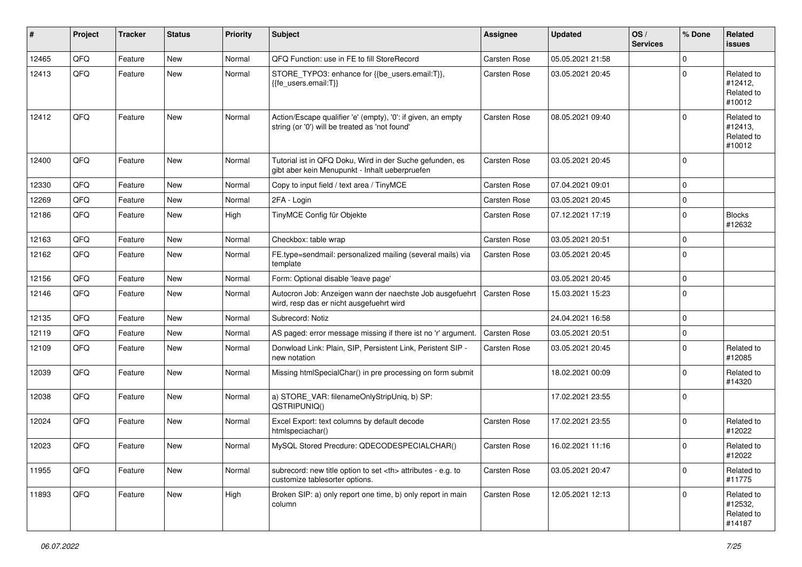| #     | Project | <b>Tracker</b> | <b>Status</b> | <b>Priority</b> | <b>Subject</b>                                                                                                 | <b>Assignee</b>                                        | <b>Updated</b>      | OS/<br><b>Services</b> | % Done   | Related<br><b>issues</b>                      |                      |
|-------|---------|----------------|---------------|-----------------|----------------------------------------------------------------------------------------------------------------|--------------------------------------------------------|---------------------|------------------------|----------|-----------------------------------------------|----------------------|
| 12465 | QFQ     | Feature        | <b>New</b>    | Normal          | QFQ Function: use in FE to fill StoreRecord                                                                    | Carsten Rose                                           | 05.05.2021 21:58    |                        | $\Omega$ |                                               |                      |
| 12413 | QFQ     | Feature        | New           | Normal          | STORE_TYPO3: enhance for {{be_users.email:T}},<br>{{fe users.email:T}}                                         | Carsten Rose                                           | 03.05.2021 20:45    |                        | $\Omega$ | Related to<br>#12412,<br>Related to<br>#10012 |                      |
| 12412 | QFQ     | Feature        | New           | Normal          | Action/Escape qualifier 'e' (empty), '0': if given, an empty<br>string (or '0') will be treated as 'not found' | <b>Carsten Rose</b>                                    | 08.05.2021 09:40    |                        | $\Omega$ | Related to<br>#12413,<br>Related to<br>#10012 |                      |
| 12400 | QFQ     | Feature        | New           | Normal          | Tutorial ist in QFQ Doku, Wird in der Suche gefunden, es<br>gibt aber kein Menupunkt - Inhalt ueberpruefen     | Carsten Rose                                           | 03.05.2021 20:45    |                        | $\Omega$ |                                               |                      |
| 12330 | QFQ     | Feature        | <b>New</b>    | Normal          | Copy to input field / text area / TinyMCE                                                                      | Carsten Rose                                           | 07.04.2021 09:01    |                        | $\Omega$ |                                               |                      |
| 12269 | QFQ     | Feature        | New           | Normal          | 2FA - Login                                                                                                    | Carsten Rose                                           | 03.05.2021 20:45    |                        | $\Omega$ |                                               |                      |
| 12186 | QFQ     | Feature        | New           | High            | TinyMCE Config für Objekte                                                                                     | <b>Carsten Rose</b>                                    | 07.12.2021 17:19    |                        | $\Omega$ | <b>Blocks</b><br>#12632                       |                      |
| 12163 | QFQ     | Feature        | <b>New</b>    | Normal          | Checkbox: table wrap                                                                                           | Carsten Rose                                           | 03.05.2021 20:51    |                        | $\Omega$ |                                               |                      |
| 12162 | QFQ     | Feature        | New           | Normal          | FE.type=sendmail: personalized mailing (several mails) via<br>template                                         | Carsten Rose                                           | 03.05.2021 20:45    |                        | $\Omega$ |                                               |                      |
| 12156 | QFQ     | Feature        | <b>New</b>    | Normal          | Form: Optional disable 'leave page'                                                                            |                                                        | 03.05.2021 20:45    |                        | $\Omega$ |                                               |                      |
| 12146 | QFQ     | Feature        | <b>New</b>    | Normal          | Autocron Job: Anzeigen wann der naechste Job ausgefuehrt<br>wird, resp das er nicht ausgefuehrt wird           | Carsten Rose                                           | 15.03.2021 15:23    |                        | $\Omega$ |                                               |                      |
| 12135 | QFQ     | Feature        | <b>New</b>    | Normal          | Subrecord: Notiz                                                                                               |                                                        | 24.04.2021 16:58    |                        | $\Omega$ |                                               |                      |
| 12119 | QFQ     | Feature        | <b>New</b>    | Normal          | AS paged: error message missing if there ist no 'r' argument.                                                  | <b>Carsten Rose</b>                                    | 03.05.2021 20:51    |                        | $\Omega$ |                                               |                      |
| 12109 | QFQ     | Feature        | New           | Normal          | Donwload Link: Plain, SIP, Persistent Link, Peristent SIP -<br>new notation                                    | Carsten Rose                                           | 03.05.2021 20:45    |                        | $\Omega$ | Related to<br>#12085                          |                      |
| 12039 | QFQ     | Feature        | New           | Normal          | Missing htmlSpecialChar() in pre processing on form submit                                                     |                                                        | 18.02.2021 00:09    |                        | $\Omega$ | Related to<br>#14320                          |                      |
| 12038 | QFQ     | Feature        | <b>New</b>    | Normal          | a) STORE_VAR: filenameOnlyStripUniq, b) SP:<br>QSTRIPUNIQ()                                                    |                                                        | 17.02.2021 23:55    |                        | $\Omega$ |                                               |                      |
| 12024 | QFQ     | Feature        | <b>New</b>    | Normal          | Excel Export: text columns by default decode<br>htmlspeciachar()                                               | Carsten Rose                                           | 17.02.2021 23:55    |                        | $\Omega$ | Related to<br>#12022                          |                      |
| 12023 | QFQ     | Feature        | <b>New</b>    | Normal          | MySQL Stored Precdure: QDECODESPECIALCHAR()                                                                    | Carsten Rose                                           | 16.02.2021 11:16    |                        | $\Omega$ | Related to<br>#12022                          |                      |
| 11955 | QFQ     | Feature        | New           | Normal          | subrecord: new title option to set <th> attributes - e.g. to<br/>customize tablesorter options.</th>           | attributes - e.g. to<br>customize tablesorter options. | <b>Carsten Rose</b> | 03.05.2021 20:47       |          | $\Omega$                                      | Related to<br>#11775 |
| 11893 | QFQ     | Feature        | New           | High            | Broken SIP: a) only report one time, b) only report in main<br>column                                          | Carsten Rose                                           | 12.05.2021 12:13    |                        | $\Omega$ | Related to<br>#12532,<br>Related to<br>#14187 |                      |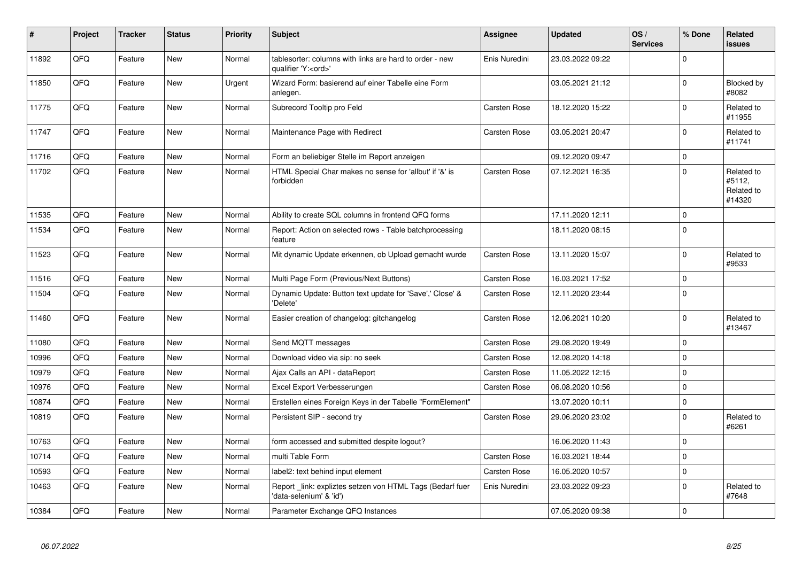| #     | Project | <b>Tracker</b> | <b>Status</b> | <b>Priority</b> | <b>Subject</b>                                                                        | Assignee            | <b>Updated</b>   | OS/<br><b>Services</b> | % Done      | Related<br><b>issues</b>                     |
|-------|---------|----------------|---------------|-----------------|---------------------------------------------------------------------------------------|---------------------|------------------|------------------------|-------------|----------------------------------------------|
| 11892 | QFQ     | Feature        | <b>New</b>    | Normal          | tablesorter: columns with links are hard to order - new<br>qualifier 'Y: <ord>'</ord> | Enis Nuredini       | 23.03.2022 09:22 |                        | $\Omega$    |                                              |
| 11850 | QFQ     | Feature        | <b>New</b>    | Urgent          | Wizard Form: basierend auf einer Tabelle eine Form<br>anlegen.                        |                     | 03.05.2021 21:12 |                        | $\Omega$    | Blocked by<br>#8082                          |
| 11775 | QFQ     | Feature        | <b>New</b>    | Normal          | Subrecord Tooltip pro Feld                                                            | Carsten Rose        | 18.12.2020 15:22 |                        | $\Omega$    | Related to<br>#11955                         |
| 11747 | QFQ     | Feature        | <b>New</b>    | Normal          | Maintenance Page with Redirect                                                        | <b>Carsten Rose</b> | 03.05.2021 20:47 |                        | $\Omega$    | Related to<br>#11741                         |
| 11716 | QFQ     | Feature        | <b>New</b>    | Normal          | Form an beliebiger Stelle im Report anzeigen                                          |                     | 09.12.2020 09:47 |                        | $\mathbf 0$ |                                              |
| 11702 | QFQ     | Feature        | New           | Normal          | HTML Special Char makes no sense for 'allbut' if '&' is<br>forbidden                  | Carsten Rose        | 07.12.2021 16:35 |                        | $\mathbf 0$ | Related to<br>#5112,<br>Related to<br>#14320 |
| 11535 | QFQ     | Feature        | <b>New</b>    | Normal          | Ability to create SQL columns in frontend QFQ forms                                   |                     | 17.11.2020 12:11 |                        | $\mathbf 0$ |                                              |
| 11534 | QFQ     | Feature        | New           | Normal          | Report: Action on selected rows - Table batchprocessing<br>feature                    |                     | 18.11.2020 08:15 |                        | $\Omega$    |                                              |
| 11523 | QFQ     | Feature        | <b>New</b>    | Normal          | Mit dynamic Update erkennen, ob Upload gemacht wurde                                  | <b>Carsten Rose</b> | 13.11.2020 15:07 |                        | $\mathbf 0$ | Related to<br>#9533                          |
| 11516 | QFQ     | Feature        | <b>New</b>    | Normal          | Multi Page Form (Previous/Next Buttons)                                               | <b>Carsten Rose</b> | 16.03.2021 17:52 |                        | $\mathbf 0$ |                                              |
| 11504 | QFQ     | Feature        | <b>New</b>    | Normal          | Dynamic Update: Button text update for 'Save',' Close' &<br>'Delete'                  | <b>Carsten Rose</b> | 12.11.2020 23:44 |                        | $\Omega$    |                                              |
| 11460 | QFQ     | Feature        | <b>New</b>    | Normal          | Easier creation of changelog: gitchangelog                                            | <b>Carsten Rose</b> | 12.06.2021 10:20 |                        | $\Omega$    | Related to<br>#13467                         |
| 11080 | QFQ     | Feature        | <b>New</b>    | Normal          | Send MQTT messages                                                                    | <b>Carsten Rose</b> | 29.08.2020 19:49 |                        | $\Omega$    |                                              |
| 10996 | QFQ     | Feature        | <b>New</b>    | Normal          | Download video via sip: no seek                                                       | Carsten Rose        | 12.08.2020 14:18 |                        | $\mathbf 0$ |                                              |
| 10979 | QFQ     | Feature        | <b>New</b>    | Normal          | Ajax Calls an API - dataReport                                                        | Carsten Rose        | 11.05.2022 12:15 |                        | $\mathbf 0$ |                                              |
| 10976 | QFQ     | Feature        | New           | Normal          | Excel Export Verbesserungen                                                           | Carsten Rose        | 06.08.2020 10:56 |                        | $\mathbf 0$ |                                              |
| 10874 | QFQ     | Feature        | New           | Normal          | Erstellen eines Foreign Keys in der Tabelle "FormElement"                             |                     | 13.07.2020 10:11 |                        | $\mathbf 0$ |                                              |
| 10819 | QFQ     | Feature        | <b>New</b>    | Normal          | Persistent SIP - second try                                                           | <b>Carsten Rose</b> | 29.06.2020 23:02 |                        | $\mathbf 0$ | Related to<br>#6261                          |
| 10763 | QFQ     | Feature        | <b>New</b>    | Normal          | form accessed and submitted despite logout?                                           |                     | 16.06.2020 11:43 |                        | $\Omega$    |                                              |
| 10714 | QFQ     | Feature        | <b>New</b>    | Normal          | multi Table Form                                                                      | <b>Carsten Rose</b> | 16.03.2021 18:44 |                        | $\mathbf 0$ |                                              |
| 10593 | QFQ     | Feature        | New           | Normal          | label2: text behind input element                                                     | Carsten Rose        | 16.05.2020 10:57 |                        | $\mathbf 0$ |                                              |
| 10463 | QFQ     | Feature        | <b>New</b>    | Normal          | Report _link: expliztes setzen von HTML Tags (Bedarf fuer<br>'data-selenium' & 'id')  | Enis Nuredini       | 23.03.2022 09:23 |                        | $\mathbf 0$ | Related to<br>#7648                          |
| 10384 | QFQ     | Feature        | New           | Normal          | Parameter Exchange QFQ Instances                                                      |                     | 07.05.2020 09:38 |                        | $\mathbf 0$ |                                              |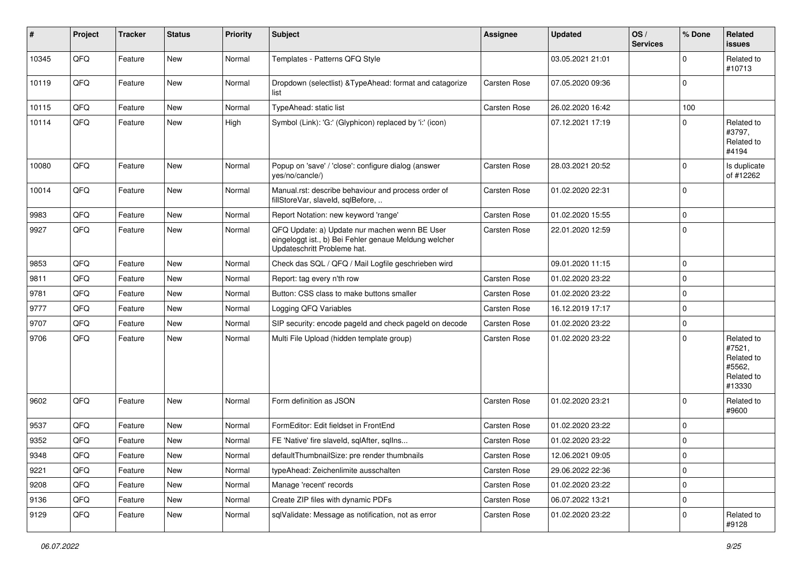| #     | Project        | <b>Tracker</b> | <b>Status</b> | <b>Priority</b> | Subject                                                                                                                               | Assignee     | <b>Updated</b>   | OS/<br><b>Services</b> | % Done      | Related<br><b>issues</b>                                             |
|-------|----------------|----------------|---------------|-----------------|---------------------------------------------------------------------------------------------------------------------------------------|--------------|------------------|------------------------|-------------|----------------------------------------------------------------------|
| 10345 | QFQ            | Feature        | New           | Normal          | Templates - Patterns QFQ Style                                                                                                        |              | 03.05.2021 21:01 |                        | $\Omega$    | Related to<br>#10713                                                 |
| 10119 | QFQ            | Feature        | New           | Normal          | Dropdown (selectlist) & TypeAhead: format and catagorize<br>list                                                                      | Carsten Rose | 07.05.2020 09:36 |                        | $\Omega$    |                                                                      |
| 10115 | QFQ            | Feature        | <b>New</b>    | Normal          | TypeAhead: static list                                                                                                                | Carsten Rose | 26.02.2020 16:42 |                        | 100         |                                                                      |
| 10114 | QFQ            | Feature        | <b>New</b>    | High            | Symbol (Link): 'G:' (Glyphicon) replaced by 'i:' (icon)                                                                               |              | 07.12.2021 17:19 |                        | $\Omega$    | Related to<br>#3797,<br>Related to<br>#4194                          |
| 10080 | QFQ            | Feature        | <b>New</b>    | Normal          | Popup on 'save' / 'close': configure dialog (answer<br>yes/no/cancle/)                                                                | Carsten Rose | 28.03.2021 20:52 |                        | $\Omega$    | Is duplicate<br>of #12262                                            |
| 10014 | QFQ            | Feature        | <b>New</b>    | Normal          | Manual.rst: describe behaviour and process order of<br>fillStoreVar, slaveId, sqlBefore,                                              | Carsten Rose | 01.02.2020 22:31 |                        | $\Omega$    |                                                                      |
| 9983  | QFQ            | Feature        | <b>New</b>    | Normal          | Report Notation: new keyword 'range'                                                                                                  | Carsten Rose | 01.02.2020 15:55 |                        | $\mathbf 0$ |                                                                      |
| 9927  | QFQ            | Feature        | <b>New</b>    | Normal          | QFQ Update: a) Update nur machen wenn BE User<br>eingeloggt ist., b) Bei Fehler genaue Meldung welcher<br>Updateschritt Probleme hat. | Carsten Rose | 22.01.2020 12:59 |                        | $\Omega$    |                                                                      |
| 9853  | QFQ            | Feature        | <b>New</b>    | Normal          | Check das SQL / QFQ / Mail Logfile geschrieben wird                                                                                   |              | 09.01.2020 11:15 |                        | $\mathbf 0$ |                                                                      |
| 9811  | QFQ            | Feature        | New           | Normal          | Report: tag every n'th row                                                                                                            | Carsten Rose | 01.02.2020 23:22 |                        | $\Omega$    |                                                                      |
| 9781  | QFQ            | Feature        | <b>New</b>    | Normal          | Button: CSS class to make buttons smaller                                                                                             | Carsten Rose | 01.02.2020 23:22 |                        | $\mathbf 0$ |                                                                      |
| 9777  | QFQ            | Feature        | New           | Normal          | Logging QFQ Variables                                                                                                                 | Carsten Rose | 16.12.2019 17:17 |                        | $\mathbf 0$ |                                                                      |
| 9707  | QFQ            | Feature        | New           | Normal          | SIP security: encode pageld and check pageld on decode                                                                                | Carsten Rose | 01.02.2020 23:22 |                        | $\mathbf 0$ |                                                                      |
| 9706  | QFQ            | Feature        | <b>New</b>    | Normal          | Multi File Upload (hidden template group)                                                                                             | Carsten Rose | 01.02.2020 23:22 |                        | $\Omega$    | Related to<br>#7521,<br>Related to<br>#5562,<br>Related to<br>#13330 |
| 9602  | QFQ            | Feature        | <b>New</b>    | Normal          | Form definition as JSON                                                                                                               | Carsten Rose | 01.02.2020 23:21 |                        | $\Omega$    | Related to<br>#9600                                                  |
| 9537  | QFQ            | Feature        | <b>New</b>    | Normal          | FormEditor: Edit fieldset in FrontEnd                                                                                                 | Carsten Rose | 01.02.2020 23:22 |                        | $\mathbf 0$ |                                                                      |
| 9352  | QFQ            | Feature        | New           | Normal          | FE 'Native' fire slaveld, sqlAfter, sqlIns                                                                                            | Carsten Rose | 01.02.2020 23:22 |                        | 0           |                                                                      |
| 9348  | $\mathsf{QFQ}$ | Feature        | New           | Normal          | defaultThumbnailSize: pre render thumbnails                                                                                           | Carsten Rose | 12.06.2021 09:05 |                        | $\mathbf 0$ |                                                                      |
| 9221  | QFQ            | Feature        | New           | Normal          | typeAhead: Zeichenlimite ausschalten                                                                                                  | Carsten Rose | 29.06.2022 22:36 |                        | $\mathbf 0$ |                                                                      |
| 9208  | QFQ            | Feature        | <b>New</b>    | Normal          | Manage 'recent' records                                                                                                               | Carsten Rose | 01.02.2020 23:22 |                        | $\mathbf 0$ |                                                                      |
| 9136  | QFQ            | Feature        | New           | Normal          | Create ZIP files with dynamic PDFs                                                                                                    | Carsten Rose | 06.07.2022 13:21 |                        | $\mathbf 0$ |                                                                      |
| 9129  | QFQ            | Feature        | New           | Normal          | sqlValidate: Message as notification, not as error                                                                                    | Carsten Rose | 01.02.2020 23:22 |                        | $\mathbf 0$ | Related to<br>#9128                                                  |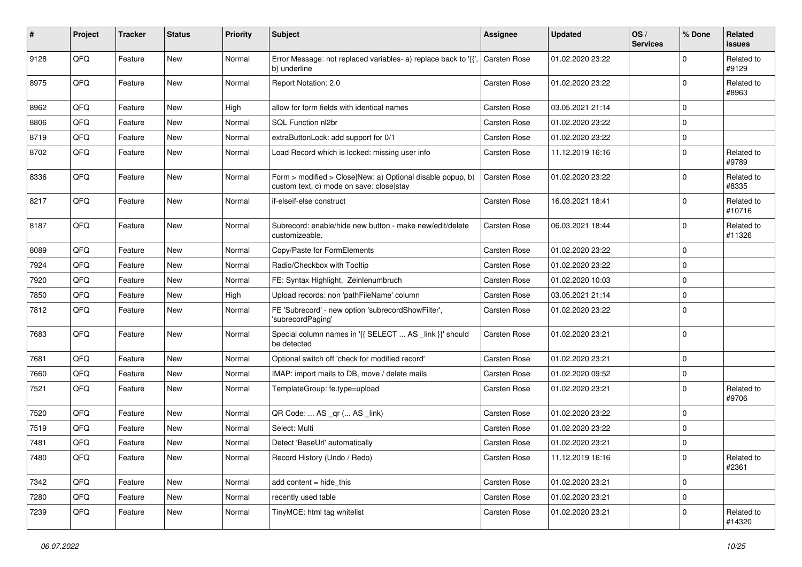| #    | Project | <b>Tracker</b> | <b>Status</b> | <b>Priority</b> | Subject                                                                                                | Assignee            | <b>Updated</b>   | OS/<br><b>Services</b> | % Done      | <b>Related</b><br><b>issues</b> |
|------|---------|----------------|---------------|-----------------|--------------------------------------------------------------------------------------------------------|---------------------|------------------|------------------------|-------------|---------------------------------|
| 9128 | QFQ     | Feature        | <b>New</b>    | Normal          | Error Message: not replaced variables- a) replace back to '{',<br>b) underline                         | Carsten Rose        | 01.02.2020 23:22 |                        | $\Omega$    | Related to<br>#9129             |
| 8975 | QFQ     | Feature        | New           | Normal          | Report Notation: 2.0                                                                                   | <b>Carsten Rose</b> | 01.02.2020 23:22 |                        | $\mathbf 0$ | Related to<br>#8963             |
| 8962 | QFQ     | Feature        | <b>New</b>    | High            | allow for form fields with identical names                                                             | Carsten Rose        | 03.05.2021 21:14 |                        | $\Omega$    |                                 |
| 8806 | QFQ     | Feature        | <b>New</b>    | Normal          | SQL Function nl2br                                                                                     | <b>Carsten Rose</b> | 01.02.2020 23:22 |                        | $\mathbf 0$ |                                 |
| 8719 | QFQ     | Feature        | <b>New</b>    | Normal          | extraButtonLock: add support for 0/1                                                                   | <b>Carsten Rose</b> | 01.02.2020 23:22 |                        | $\mathbf 0$ |                                 |
| 8702 | QFQ     | Feature        | <b>New</b>    | Normal          | Load Record which is locked: missing user info                                                         | Carsten Rose        | 11.12.2019 16:16 |                        | $\mathbf 0$ | Related to<br>#9789             |
| 8336 | QFQ     | Feature        | New           | Normal          | Form > modified > Close New: a) Optional disable popup, b)<br>custom text, c) mode on save: close stay | Carsten Rose        | 01.02.2020 23:22 |                        | $\mathbf 0$ | Related to<br>#8335             |
| 8217 | QFQ     | Feature        | New           | Normal          | if-elseif-else construct                                                                               | Carsten Rose        | 16.03.2021 18:41 |                        | $\mathbf 0$ | Related to<br>#10716            |
| 8187 | QFQ     | Feature        | New           | Normal          | Subrecord: enable/hide new button - make new/edit/delete<br>customizeable.                             | Carsten Rose        | 06.03.2021 18:44 |                        | $\mathbf 0$ | Related to<br>#11326            |
| 8089 | QFQ     | Feature        | <b>New</b>    | Normal          | Copy/Paste for FormElements                                                                            | Carsten Rose        | 01.02.2020 23:22 |                        | $\mathbf 0$ |                                 |
| 7924 | QFQ     | Feature        | <b>New</b>    | Normal          | Radio/Checkbox with Tooltip                                                                            | <b>Carsten Rose</b> | 01.02.2020 23:22 |                        | $\mathbf 0$ |                                 |
| 7920 | QFQ     | Feature        | New           | Normal          | FE: Syntax Highlight, Zeinlenumbruch                                                                   | Carsten Rose        | 01.02.2020 10:03 |                        | $\mathbf 0$ |                                 |
| 7850 | QFQ     | Feature        | <b>New</b>    | High            | Upload records: non 'pathFileName' column                                                              | <b>Carsten Rose</b> | 03.05.2021 21:14 |                        | $\Omega$    |                                 |
| 7812 | QFQ     | Feature        | <b>New</b>    | Normal          | FE 'Subrecord' - new option 'subrecordShowFilter',<br>'subrecordPaging'                                | Carsten Rose        | 01.02.2020 23:22 |                        | $\mathbf 0$ |                                 |
| 7683 | QFQ     | Feature        | <b>New</b>    | Normal          | Special column names in '{{ SELECT  AS _link }}' should<br>be detected                                 | Carsten Rose        | 01.02.2020 23:21 |                        | $\mathbf 0$ |                                 |
| 7681 | QFQ     | Feature        | <b>New</b>    | Normal          | Optional switch off 'check for modified record'                                                        | Carsten Rose        | 01.02.2020 23:21 |                        | $\mathbf 0$ |                                 |
| 7660 | QFQ     | Feature        | <b>New</b>    | Normal          | IMAP: import mails to DB, move / delete mails                                                          | Carsten Rose        | 01.02.2020 09:52 |                        | $\mathbf 0$ |                                 |
| 7521 | QFQ     | Feature        | New           | Normal          | TemplateGroup: fe.type=upload                                                                          | <b>Carsten Rose</b> | 01.02.2020 23:21 |                        | 0           | Related to<br>#9706             |
| 7520 | QFQ     | Feature        | <b>New</b>    | Normal          | QR Code:  AS _qr ( AS _link)                                                                           | <b>Carsten Rose</b> | 01.02.2020 23:22 |                        | $\mathbf 0$ |                                 |
| 7519 | QFQ     | Feature        | New           | Normal          | Select: Multi                                                                                          | <b>Carsten Rose</b> | 01.02.2020 23:22 |                        | $\mathbf 0$ |                                 |
| 7481 | QFQ     | Feature        | New           | Normal          | Detect 'BaseUrl' automatically                                                                         | <b>Carsten Rose</b> | 01.02.2020 23:21 |                        | $\mathbf 0$ |                                 |
| 7480 | QFQ     | Feature        | New           | Normal          | Record History (Undo / Redo)                                                                           | Carsten Rose        | 11.12.2019 16:16 |                        | 0           | Related to<br>#2361             |
| 7342 | QFQ     | Feature        | <b>New</b>    | Normal          | add content $=$ hide this                                                                              | Carsten Rose        | 01.02.2020 23:21 |                        | $\mathbf 0$ |                                 |
| 7280 | QFQ     | Feature        | New           | Normal          | recently used table                                                                                    | Carsten Rose        | 01.02.2020 23:21 |                        | $\mathbf 0$ |                                 |
| 7239 | QFQ     | Feature        | New           | Normal          | TinyMCE: html tag whitelist                                                                            | Carsten Rose        | 01.02.2020 23:21 |                        | $\Omega$    | Related to<br>#14320            |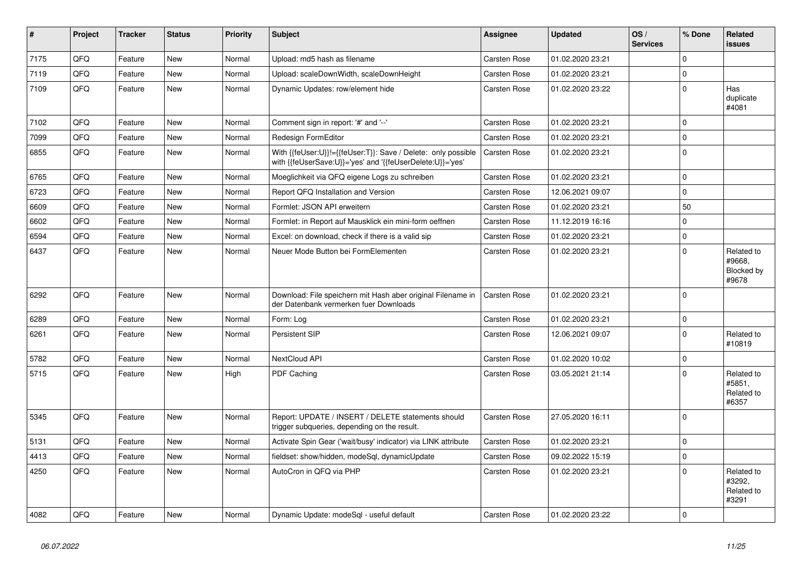| $\vert$ # | Project | <b>Tracker</b> | <b>Status</b> | <b>Priority</b> | <b>Subject</b>                                                                                                             | <b>Assignee</b> | <b>Updated</b>   | OS/<br><b>Services</b> | % Done   | Related<br><b>issues</b>                    |
|-----------|---------|----------------|---------------|-----------------|----------------------------------------------------------------------------------------------------------------------------|-----------------|------------------|------------------------|----------|---------------------------------------------|
| 7175      | QFQ     | Feature        | <b>New</b>    | Normal          | Upload: md5 hash as filename                                                                                               | Carsten Rose    | 01.02.2020 23:21 |                        | $\Omega$ |                                             |
| 7119      | QFQ     | Feature        | <b>New</b>    | Normal          | Upload: scaleDownWidth, scaleDownHeight                                                                                    | Carsten Rose    | 01.02.2020 23:21 |                        | $\Omega$ |                                             |
| 7109      | QFQ     | Feature        | <b>New</b>    | Normal          | Dynamic Updates: row/element hide                                                                                          | Carsten Rose    | 01.02.2020 23:22 |                        | $\Omega$ | Has<br>duplicate<br>#4081                   |
| 7102      | QFQ     | Feature        | <b>New</b>    | Normal          | Comment sign in report: '#' and '--'                                                                                       | Carsten Rose    | 01.02.2020 23:21 |                        | 0        |                                             |
| 7099      | QFQ     | Feature        | New           | Normal          | Redesign FormEditor                                                                                                        | Carsten Rose    | 01.02.2020 23:21 |                        | $\Omega$ |                                             |
| 6855      | QFQ     | Feature        | New           | Normal          | With {{feUser:U}}!={{feUser:T}}: Save / Delete: only possible<br>with {{feUserSave:U}}='yes' and '{{feUserDelete:U}}='yes' | Carsten Rose    | 01.02.2020 23:21 |                        | $\Omega$ |                                             |
| 6765      | QFQ     | Feature        | <b>New</b>    | Normal          | Moeglichkeit via QFQ eigene Logs zu schreiben                                                                              | Carsten Rose    | 01.02.2020 23:21 |                        | $\Omega$ |                                             |
| 6723      | QFQ     | Feature        | New           | Normal          | Report QFQ Installation and Version                                                                                        | Carsten Rose    | 12.06.2021 09:07 |                        | $\Omega$ |                                             |
| 6609      | QFQ     | Feature        | New           | Normal          | Formlet: JSON API erweitern                                                                                                | Carsten Rose    | 01.02.2020 23:21 |                        | 50       |                                             |
| 6602      | QFQ     | Feature        | <b>New</b>    | Normal          | Formlet: in Report auf Mausklick ein mini-form oeffnen                                                                     | Carsten Rose    | 11.12.2019 16:16 |                        | 0        |                                             |
| 6594      | QFQ     | Feature        | <b>New</b>    | Normal          | Excel: on download, check if there is a valid sip                                                                          | Carsten Rose    | 01.02.2020 23:21 |                        | $\Omega$ |                                             |
| 6437      | QFQ     | Feature        | New           | Normal          | Neuer Mode Button bei FormElementen                                                                                        | Carsten Rose    | 01.02.2020 23:21 |                        | $\Omega$ | Related to<br>#9668.<br>Blocked by<br>#9678 |
| 6292      | QFQ     | Feature        | <b>New</b>    | Normal          | Download: File speichern mit Hash aber original Filename in<br>der Datenbank vermerken fuer Downloads                      | Carsten Rose    | 01.02.2020 23:21 |                        | $\Omega$ |                                             |
| 6289      | QFQ     | Feature        | <b>New</b>    | Normal          | Form: Log                                                                                                                  | Carsten Rose    | 01.02.2020 23:21 |                        | $\Omega$ |                                             |
| 6261      | QFQ     | Feature        | New           | Normal          | <b>Persistent SIP</b>                                                                                                      | Carsten Rose    | 12.06.2021 09:07 |                        | $\Omega$ | Related to<br>#10819                        |
| 5782      | QFQ     | Feature        | <b>New</b>    | Normal          | <b>NextCloud API</b>                                                                                                       | Carsten Rose    | 01.02.2020 10:02 |                        | $\Omega$ |                                             |
| 5715      | QFQ     | Feature        | New           | High            | PDF Caching                                                                                                                | Carsten Rose    | 03.05.2021 21:14 |                        | $\Omega$ | Related to<br>#5851,<br>Related to<br>#6357 |
| 5345      | QFQ     | Feature        | <b>New</b>    | Normal          | Report: UPDATE / INSERT / DELETE statements should<br>trigger subqueries, depending on the result.                         | Carsten Rose    | 27.05.2020 16:11 |                        | $\Omega$ |                                             |
| 5131      | QFQ     | Feature        | <b>New</b>    | Normal          | Activate Spin Gear ('wait/busy' indicator) via LINK attribute                                                              | Carsten Rose    | 01.02.2020 23:21 |                        | $\Omega$ |                                             |
| 4413      | QFQ     | Feature        | New           | Normal          | fieldset: show/hidden, modeSql, dynamicUpdate                                                                              | Carsten Rose    | 09.02.2022 15:19 |                        | 0        |                                             |
| 4250      | QFQ     | Feature        | <b>New</b>    | Normal          | AutoCron in QFQ via PHP                                                                                                    | Carsten Rose    | 01.02.2020 23:21 |                        | $\Omega$ | Related to<br>#3292,<br>Related to<br>#3291 |
| 4082      | QFQ     | Feature        | New           | Normal          | Dynamic Update: modeSql - useful default                                                                                   | Carsten Rose    | 01.02.2020 23:22 |                        | $\Omega$ |                                             |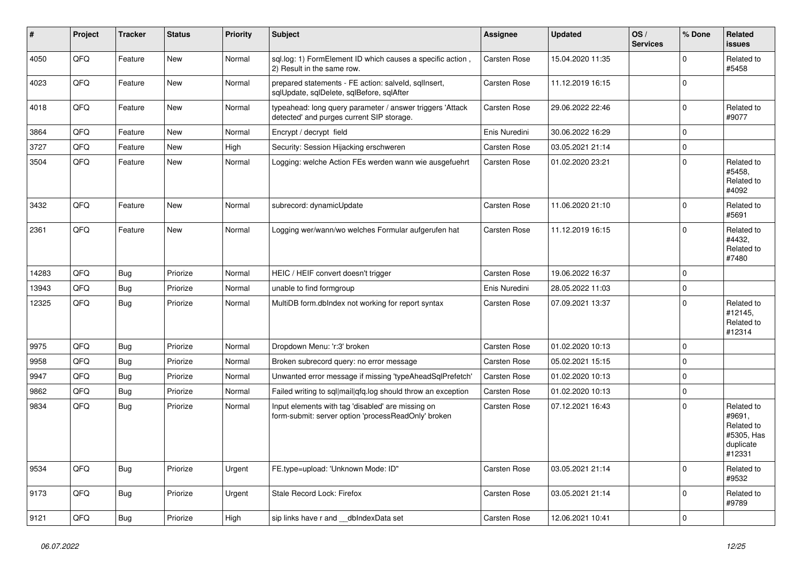| #     | Project | <b>Tracker</b> | <b>Status</b> | <b>Priority</b> | <b>Subject</b>                                                                                           | <b>Assignee</b>     | <b>Updated</b>   | OS/<br><b>Services</b> | % Done      | Related<br><b>issues</b>                                                |
|-------|---------|----------------|---------------|-----------------|----------------------------------------------------------------------------------------------------------|---------------------|------------------|------------------------|-------------|-------------------------------------------------------------------------|
| 4050  | QFQ     | Feature        | <b>New</b>    | Normal          | sql.log: 1) FormElement ID which causes a specific action,<br>2) Result in the same row.                 | Carsten Rose        | 15.04.2020 11:35 |                        | $\mathbf 0$ | Related to<br>#5458                                                     |
| 4023  | QFQ     | Feature        | <b>New</b>    | Normal          | prepared statements - FE action: salveld, sqllnsert,<br>sqlUpdate, sqlDelete, sqlBefore, sqlAfter        | Carsten Rose        | 11.12.2019 16:15 |                        | $\Omega$    |                                                                         |
| 4018  | QFQ     | Feature        | New           | Normal          | typeahead: long query parameter / answer triggers 'Attack<br>detected' and purges current SIP storage.   | Carsten Rose        | 29.06.2022 22:46 |                        | $\Omega$    | Related to<br>#9077                                                     |
| 3864  | QFQ     | Feature        | <b>New</b>    | Normal          | Encrypt / decrypt field                                                                                  | Enis Nuredini       | 30.06.2022 16:29 |                        | $\mathbf 0$ |                                                                         |
| 3727  | QFQ     | Feature        | <b>New</b>    | High            | Security: Session Hijacking erschweren                                                                   | Carsten Rose        | 03.05.2021 21:14 |                        | $\pmb{0}$   |                                                                         |
| 3504  | QFQ     | Feature        | <b>New</b>    | Normal          | Logging: welche Action FEs werden wann wie ausgefuehrt                                                   | <b>Carsten Rose</b> | 01.02.2020 23:21 |                        | $\Omega$    | Related to<br>#5458.<br>Related to<br>#4092                             |
| 3432  | QFQ     | Feature        | <b>New</b>    | Normal          | subrecord: dynamicUpdate                                                                                 | Carsten Rose        | 11.06.2020 21:10 |                        | $\Omega$    | Related to<br>#5691                                                     |
| 2361  | QFQ     | Feature        | <b>New</b>    | Normal          | Logging wer/wann/wo welches Formular aufgerufen hat                                                      | Carsten Rose        | 11.12.2019 16:15 |                        | $\Omega$    | Related to<br>#4432,<br>Related to<br>#7480                             |
| 14283 | QFQ     | Bug            | Priorize      | Normal          | HEIC / HEIF convert doesn't trigger                                                                      | Carsten Rose        | 19.06.2022 16:37 |                        | $\Omega$    |                                                                         |
| 13943 | QFQ     | Bug            | Priorize      | Normal          | unable to find formgroup                                                                                 | Enis Nuredini       | 28.05.2022 11:03 |                        | $\mathbf 0$ |                                                                         |
| 12325 | QFQ     | Bug            | Priorize      | Normal          | MultiDB form.dblndex not working for report syntax                                                       | Carsten Rose        | 07.09.2021 13:37 |                        | $\Omega$    | Related to<br>#12145,<br>Related to<br>#12314                           |
| 9975  | QFQ     | Bug            | Priorize      | Normal          | Dropdown Menu: 'r:3' broken                                                                              | <b>Carsten Rose</b> | 01.02.2020 10:13 |                        | $\Omega$    |                                                                         |
| 9958  | QFQ     | Bug            | Priorize      | Normal          | Broken subrecord query: no error message                                                                 | <b>Carsten Rose</b> | 05.02.2021 15:15 |                        | $\mathbf 0$ |                                                                         |
| 9947  | QFQ     | <b>Bug</b>     | Priorize      | Normal          | Unwanted error message if missing 'typeAheadSqlPrefetch'                                                 | Carsten Rose        | 01.02.2020 10:13 |                        | $\mathbf 0$ |                                                                         |
| 9862  | QFQ     | <b>Bug</b>     | Priorize      | Normal          | Failed writing to sql mail qfq.log should throw an exception                                             | <b>Carsten Rose</b> | 01.02.2020 10:13 |                        | $\mathbf 0$ |                                                                         |
| 9834  | QFQ     | Bug            | Priorize      | Normal          | Input elements with tag 'disabled' are missing on<br>form-submit: server option 'processReadOnly' broken | Carsten Rose        | 07.12.2021 16:43 |                        | $\Omega$    | Related to<br>#9691,<br>Related to<br>#5305, Has<br>duplicate<br>#12331 |
| 9534  | QFQ     | Bug            | Priorize      | Urgent          | FE.type=upload: 'Unknown Mode: ID"                                                                       | Carsten Rose        | 03.05.2021 21:14 |                        | $\mathbf 0$ | Related to<br>#9532                                                     |
| 9173  | QFQ     | <b>Bug</b>     | Priorize      | Urgent          | Stale Record Lock: Firefox                                                                               | Carsten Rose        | 03.05.2021 21:14 |                        | $\Omega$    | Related to<br>#9789                                                     |
| 9121  | QFQ     | Bug            | Priorize      | High            | sip links have r and __dbIndexData set                                                                   | Carsten Rose        | 12.06.2021 10:41 |                        | $\mathbf 0$ |                                                                         |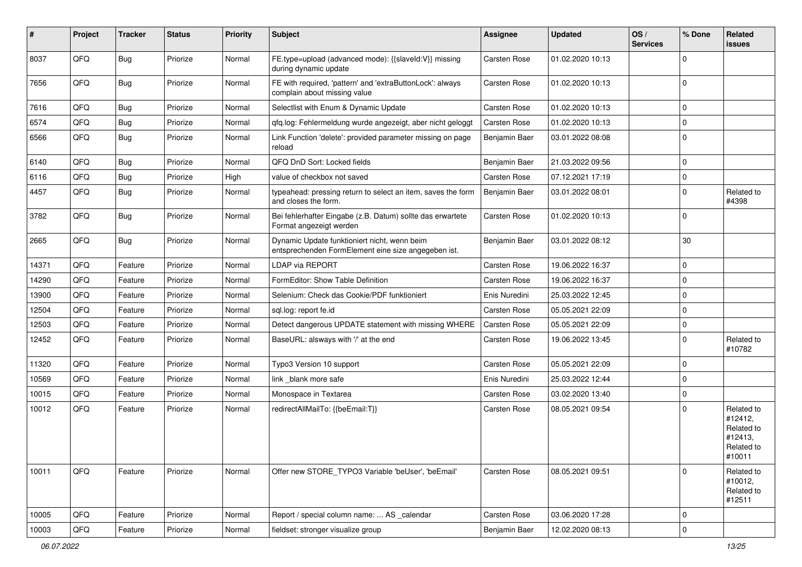| #     | Project | <b>Tracker</b> | <b>Status</b> | <b>Priority</b> | <b>Subject</b>                                                                                      | <b>Assignee</b>     | <b>Updated</b>   | OS/<br><b>Services</b> | % Done      | Related<br><b>issues</b>                                               |
|-------|---------|----------------|---------------|-----------------|-----------------------------------------------------------------------------------------------------|---------------------|------------------|------------------------|-------------|------------------------------------------------------------------------|
| 8037  | QFQ     | Bug            | Priorize      | Normal          | FE.type=upload (advanced mode): {{slaveld:V}} missing<br>during dynamic update                      | <b>Carsten Rose</b> | 01.02.2020 10:13 |                        | $\mathbf 0$ |                                                                        |
| 7656  | QFQ     | <b>Bug</b>     | Priorize      | Normal          | FE with required, 'pattern' and 'extraButtonLock': always<br>complain about missing value           | Carsten Rose        | 01.02.2020 10:13 |                        | $\mathbf 0$ |                                                                        |
| 7616  | QFQ     | Bug            | Priorize      | Normal          | Selectlist with Enum & Dynamic Update                                                               | Carsten Rose        | 01.02.2020 10:13 |                        | $\mathbf 0$ |                                                                        |
| 6574  | QFQ     | <b>Bug</b>     | Priorize      | Normal          | qfq.log: Fehlermeldung wurde angezeigt, aber nicht geloggt                                          | Carsten Rose        | 01.02.2020 10:13 |                        | $\mathbf 0$ |                                                                        |
| 6566  | QFQ     | Bug            | Priorize      | Normal          | Link Function 'delete': provided parameter missing on page<br>reload                                | Benjamin Baer       | 03.01.2022 08:08 |                        | $\mathsf 0$ |                                                                        |
| 6140  | QFQ     | Bug            | Priorize      | Normal          | QFQ DnD Sort: Locked fields                                                                         | Benjamin Baer       | 21.03.2022 09:56 |                        | $\mathbf 0$ |                                                                        |
| 6116  | QFQ     | Bug            | Priorize      | High            | value of checkbox not saved                                                                         | Carsten Rose        | 07.12.2021 17:19 |                        | $\mathbf 0$ |                                                                        |
| 4457  | QFQ     | <b>Bug</b>     | Priorize      | Normal          | typeahead: pressing return to select an item, saves the form<br>and closes the form.                | Benjamin Baer       | 03.01.2022 08:01 |                        | $\mathbf 0$ | Related to<br>#4398                                                    |
| 3782  | QFQ     | <b>Bug</b>     | Priorize      | Normal          | Bei fehlerhafter Eingabe (z.B. Datum) sollte das erwartete<br>Format angezeigt werden               | Carsten Rose        | 01.02.2020 10:13 |                        | $\mathbf 0$ |                                                                        |
| 2665  | QFQ     | <b>Bug</b>     | Priorize      | Normal          | Dynamic Update funktioniert nicht, wenn beim<br>entsprechenden FormElement eine size angegeben ist. | Benjamin Baer       | 03.01.2022 08:12 |                        | 30          |                                                                        |
| 14371 | QFQ     | Feature        | Priorize      | Normal          | <b>LDAP via REPORT</b>                                                                              | Carsten Rose        | 19.06.2022 16:37 |                        | $\mathbf 0$ |                                                                        |
| 14290 | QFQ     | Feature        | Priorize      | Normal          | FormEditor: Show Table Definition                                                                   | Carsten Rose        | 19.06.2022 16:37 |                        | $\mathbf 0$ |                                                                        |
| 13900 | QFQ     | Feature        | Priorize      | Normal          | Selenium: Check das Cookie/PDF funktioniert                                                         | Enis Nuredini       | 25.03.2022 12:45 |                        | $\mathbf 0$ |                                                                        |
| 12504 | QFQ     | Feature        | Priorize      | Normal          | sql.log: report fe.id                                                                               | <b>Carsten Rose</b> | 05.05.2021 22:09 |                        | $\mathbf 0$ |                                                                        |
| 12503 | QFQ     | Feature        | Priorize      | Normal          | Detect dangerous UPDATE statement with missing WHERE                                                | Carsten Rose        | 05.05.2021 22:09 |                        | $\mathbf 0$ |                                                                        |
| 12452 | QFQ     | Feature        | Priorize      | Normal          | BaseURL: alsways with '/' at the end                                                                | Carsten Rose        | 19.06.2022 13:45 |                        | $\mathbf 0$ | Related to<br>#10782                                                   |
| 11320 | QFQ     | Feature        | Priorize      | Normal          | Typo3 Version 10 support                                                                            | Carsten Rose        | 05.05.2021 22:09 |                        | $\mathbf 0$ |                                                                        |
| 10569 | QFQ     | Feature        | Priorize      | Normal          | link _blank more safe                                                                               | Enis Nuredini       | 25.03.2022 12:44 |                        | $\mathbf 0$ |                                                                        |
| 10015 | QFQ     | Feature        | Priorize      | Normal          | Monospace in Textarea                                                                               | Carsten Rose        | 03.02.2020 13:40 |                        | $\mathbf 0$ |                                                                        |
| 10012 | QFQ     | Feature        | Priorize      | Normal          | redirectAllMailTo: {{beEmail:T}}                                                                    | Carsten Rose        | 08.05.2021 09:54 |                        | $\mathbf 0$ | Related to<br>#12412,<br>Related to<br>#12413,<br>Related to<br>#10011 |
| 10011 | QFQ     | Feature        | Priorize      | Normal          | Offer new STORE_TYPO3 Variable 'beUser', 'beEmail'                                                  | Carsten Rose        | 08.05.2021 09:51 |                        | $\mathbf 0$ | Related to<br>#10012,<br>Related to<br>#12511                          |
| 10005 | QFQ     | Feature        | Priorize      | Normal          | Report / special column name:  AS _calendar                                                         | Carsten Rose        | 03.06.2020 17:28 |                        | $\mathbf 0$ |                                                                        |
| 10003 | QFQ     | Feature        | Priorize      | Normal          | fieldset: stronger visualize group                                                                  | Benjamin Baer       | 12.02.2020 08:13 |                        | $\mathsf 0$ |                                                                        |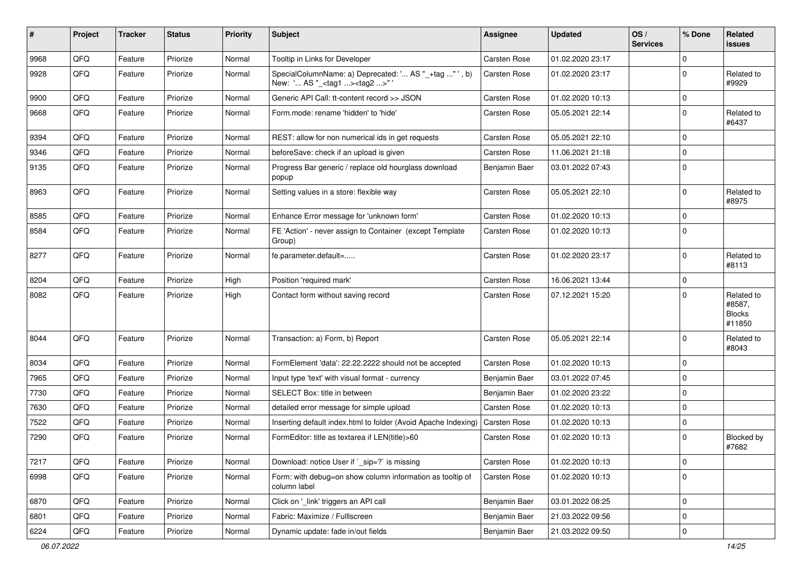| #    | Project | <b>Tracker</b> | <b>Status</b> | <b>Priority</b> | Subject                                                                                           | <b>Assignee</b>     | <b>Updated</b>   | OS/<br><b>Services</b> | % Done      | <b>Related</b><br>issues                        |
|------|---------|----------------|---------------|-----------------|---------------------------------------------------------------------------------------------------|---------------------|------------------|------------------------|-------------|-------------------------------------------------|
| 9968 | QFQ     | Feature        | Priorize      | Normal          | Tooltip in Links for Developer                                                                    | Carsten Rose        | 01.02.2020 23:17 |                        | $\Omega$    |                                                 |
| 9928 | QFQ     | Feature        | Priorize      | Normal          | SpecialColumnName: a) Deprecated: ' AS "_+tag " ', b)<br>New: ' AS "_ <tag1><tag2>"</tag2></tag1> | <b>Carsten Rose</b> | 01.02.2020 23:17 |                        | $\mathbf 0$ | Related to<br>#9929                             |
| 9900 | QFQ     | Feature        | Priorize      | Normal          | Generic API Call: tt-content record >> JSON                                                       | Carsten Rose        | 01.02.2020 10:13 |                        | $\mathbf 0$ |                                                 |
| 9668 | QFQ     | Feature        | Priorize      | Normal          | Form.mode: rename 'hidden' to 'hide'                                                              | <b>Carsten Rose</b> | 05.05.2021 22:14 |                        | $\mathbf 0$ | Related to<br>#6437                             |
| 9394 | QFQ     | Feature        | Priorize      | Normal          | REST: allow for non numerical ids in get requests                                                 | <b>Carsten Rose</b> | 05.05.2021 22:10 |                        | $\mathbf 0$ |                                                 |
| 9346 | QFQ     | Feature        | Priorize      | Normal          | beforeSave: check if an upload is given                                                           | Carsten Rose        | 11.06.2021 21:18 |                        | $\mathbf 0$ |                                                 |
| 9135 | QFQ     | Feature        | Priorize      | Normal          | Progress Bar generic / replace old hourglass download<br>popup                                    | Benjamin Baer       | 03.01.2022 07:43 |                        | $\mathbf 0$ |                                                 |
| 8963 | QFQ     | Feature        | Priorize      | Normal          | Setting values in a store: flexible way                                                           | Carsten Rose        | 05.05.2021 22:10 |                        | $\mathbf 0$ | Related to<br>#8975                             |
| 8585 | QFQ     | Feature        | Priorize      | Normal          | Enhance Error message for 'unknown form'                                                          | <b>Carsten Rose</b> | 01.02.2020 10:13 |                        | $\mathbf 0$ |                                                 |
| 8584 | QFQ     | Feature        | Priorize      | Normal          | FE 'Action' - never assign to Container (except Template<br>Group)                                | <b>Carsten Rose</b> | 01.02.2020 10:13 |                        | $\mathbf 0$ |                                                 |
| 8277 | QFQ     | Feature        | Priorize      | Normal          | fe.parameter.default=                                                                             | Carsten Rose        | 01.02.2020 23:17 |                        | $\mathbf 0$ | Related to<br>#8113                             |
| 8204 | QFQ     | Feature        | Priorize      | High            | Position 'required mark'                                                                          | <b>Carsten Rose</b> | 16.06.2021 13:44 |                        | $\mathbf 0$ |                                                 |
| 8082 | QFQ     | Feature        | Priorize      | High            | Contact form without saving record                                                                | <b>Carsten Rose</b> | 07.12.2021 15:20 |                        | $\Omega$    | Related to<br>#8587,<br><b>Blocks</b><br>#11850 |
| 8044 | QFQ     | Feature        | Priorize      | Normal          | Transaction: a) Form, b) Report                                                                   | <b>Carsten Rose</b> | 05.05.2021 22:14 |                        | $\mathbf 0$ | Related to<br>#8043                             |
| 8034 | QFQ     | Feature        | Priorize      | Normal          | FormElement 'data': 22.22.2222 should not be accepted                                             | Carsten Rose        | 01.02.2020 10:13 |                        | $\mathbf 0$ |                                                 |
| 7965 | QFQ     | Feature        | Priorize      | Normal          | Input type 'text' with visual format - currency                                                   | Benjamin Baer       | 03.01.2022 07:45 |                        | $\mathbf 0$ |                                                 |
| 7730 | QFQ     | Feature        | Priorize      | Normal          | SELECT Box: title in between                                                                      | Benjamin Baer       | 01.02.2020 23:22 |                        | $\mathbf 0$ |                                                 |
| 7630 | QFQ     | Feature        | Priorize      | Normal          | detailed error message for simple upload                                                          | <b>Carsten Rose</b> | 01.02.2020 10:13 |                        | $\mathbf 0$ |                                                 |
| 7522 | QFQ     | Feature        | Priorize      | Normal          | Inserting default index.html to folder (Avoid Apache Indexing)                                    | Carsten Rose        | 01.02.2020 10:13 |                        | $\mathbf 0$ |                                                 |
| 7290 | QFQ     | Feature        | Priorize      | Normal          | FormEditor: title as textarea if LEN(title)>60                                                    | <b>Carsten Rose</b> | 01.02.2020 10:13 |                        | $\mathbf 0$ | Blocked by<br>#7682                             |
| 7217 | QFQ     | Feature        | Priorize      | Normal          | Download: notice User if `_sip=?` is missing                                                      | Carsten Rose        | 01.02.2020 10:13 |                        | $\mathsf 0$ |                                                 |
| 6998 | QFQ     | Feature        | Priorize      | Normal          | Form: with debug=on show column information as tooltip of<br>column label                         | Carsten Rose        | 01.02.2020 10:13 |                        | $\mathbf 0$ |                                                 |
| 6870 | QFQ     | Feature        | Priorize      | Normal          | Click on '_link' triggers an API call                                                             | Benjamin Baer       | 03.01.2022 08:25 |                        | $\mathbf 0$ |                                                 |
| 6801 | QFQ     | Feature        | Priorize      | Normal          | Fabric: Maximize / Fulllscreen                                                                    | Benjamin Baer       | 21.03.2022 09:56 |                        | $\mathbf 0$ |                                                 |
| 6224 | QFQ     | Feature        | Priorize      | Normal          | Dynamic update: fade in/out fields                                                                | Benjamin Baer       | 21.03.2022 09:50 |                        | 0           |                                                 |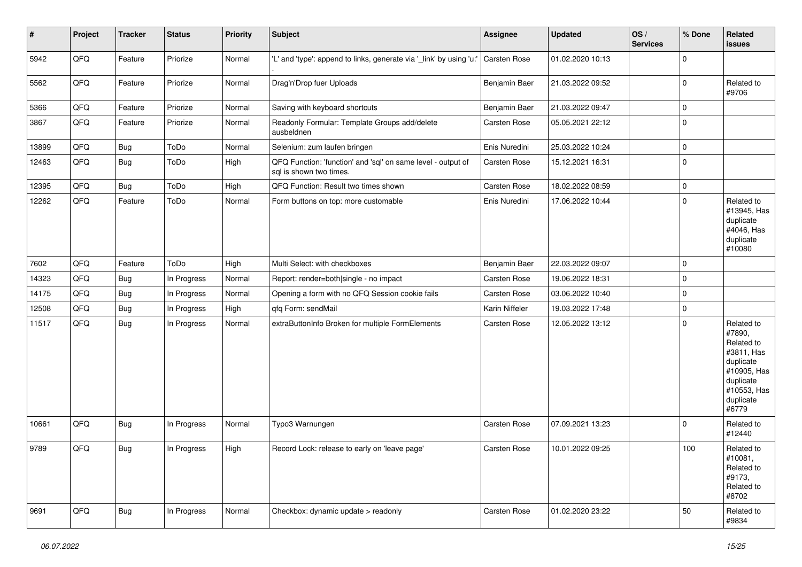| $\vert$ # | Project | <b>Tracker</b> | <b>Status</b> | <b>Priority</b> | <b>Subject</b>                                                                          | <b>Assignee</b>     | <b>Updated</b>   | OS/<br><b>Services</b> | % Done      | Related<br>issues                                                                                                              |
|-----------|---------|----------------|---------------|-----------------|-----------------------------------------------------------------------------------------|---------------------|------------------|------------------------|-------------|--------------------------------------------------------------------------------------------------------------------------------|
| 5942      | QFQ     | Feature        | Priorize      | Normal          | 'L' and 'type': append to links, generate via '_link' by using 'u:'                     | Carsten Rose        | 01.02.2020 10:13 |                        | $\mathbf 0$ |                                                                                                                                |
| 5562      | QFQ     | Feature        | Priorize      | Normal          | Drag'n'Drop fuer Uploads                                                                | Benjamin Baer       | 21.03.2022 09:52 |                        | $\pmb{0}$   | Related to<br>#9706                                                                                                            |
| 5366      | QFQ     | Feature        | Priorize      | Normal          | Saving with keyboard shortcuts                                                          | Benjamin Baer       | 21.03.2022 09:47 |                        | $\pmb{0}$   |                                                                                                                                |
| 3867      | QFQ     | Feature        | Priorize      | Normal          | Readonly Formular: Template Groups add/delete<br>ausbeldnen                             | Carsten Rose        | 05.05.2021 22:12 |                        | $\pmb{0}$   |                                                                                                                                |
| 13899     | QFQ     | Bug            | ToDo          | Normal          | Selenium: zum laufen bringen                                                            | Enis Nuredini       | 25.03.2022 10:24 |                        | $\mathbf 0$ |                                                                                                                                |
| 12463     | QFQ     | Bug            | ToDo          | High            | QFQ Function: 'function' and 'sql' on same level - output of<br>sql is shown two times. | Carsten Rose        | 15.12.2021 16:31 |                        | $\mathbf 0$ |                                                                                                                                |
| 12395     | QFQ     | Bug            | ToDo          | High            | QFQ Function: Result two times shown                                                    | <b>Carsten Rose</b> | 18.02.2022 08:59 |                        | $\mathbf 0$ |                                                                                                                                |
| 12262     | QFQ     | Feature        | ToDo          | Normal          | Form buttons on top: more customable                                                    | Enis Nuredini       | 17.06.2022 10:44 |                        | $\mathbf 0$ | Related to<br>#13945, Has<br>duplicate<br>#4046, Has<br>duplicate<br>#10080                                                    |
| 7602      | QFQ     | Feature        | ToDo          | High            | Multi Select: with checkboxes                                                           | Benjamin Baer       | 22.03.2022 09:07 |                        | $\mathbf 0$ |                                                                                                                                |
| 14323     | QFQ     | Bug            | In Progress   | Normal          | Report: render=both single - no impact                                                  | <b>Carsten Rose</b> | 19.06.2022 18:31 |                        | $\pmb{0}$   |                                                                                                                                |
| 14175     | QFQ     | Bug            | In Progress   | Normal          | Opening a form with no QFQ Session cookie fails                                         | Carsten Rose        | 03.06.2022 10:40 |                        | $\mathbf 0$ |                                                                                                                                |
| 12508     | QFQ     | Bug            | In Progress   | High            | qfq Form: sendMail                                                                      | Karin Niffeler      | 19.03.2022 17:48 |                        | $\pmb{0}$   |                                                                                                                                |
| 11517     | QFQ     | Bug            | In Progress   | Normal          | extraButtonInfo Broken for multiple FormElements                                        | Carsten Rose        | 12.05.2022 13:12 |                        | $\mathbf 0$ | Related to<br>#7890,<br>Related to<br>#3811, Has<br>duplicate<br>#10905, Has<br>duplicate<br>#10553, Has<br>duplicate<br>#6779 |
| 10661     | QFQ     | <b>Bug</b>     | In Progress   | Normal          | Typo3 Warnungen                                                                         | <b>Carsten Rose</b> | 07.09.2021 13:23 |                        | $\mathbf 0$ | Related to<br>#12440                                                                                                           |
| 9789      | QFQ     | Bug            | In Progress   | High            | Record Lock: release to early on 'leave page'                                           | <b>Carsten Rose</b> | 10.01.2022 09:25 |                        | 100         | Related to<br>#10081.<br>Related to<br>#9173,<br>Related to<br>#8702                                                           |
| 9691      | QFQ     | Bug            | In Progress   | Normal          | Checkbox: dynamic update > readonly                                                     | <b>Carsten Rose</b> | 01.02.2020 23:22 |                        | 50          | Related to<br>#9834                                                                                                            |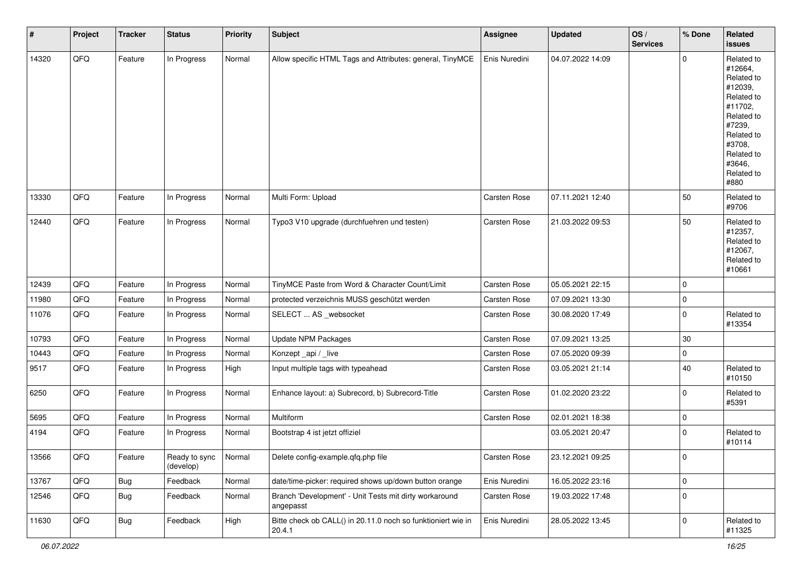| #     | Project | Tracker    | <b>Status</b>              | <b>Priority</b> | <b>Subject</b>                                                         | Assignee      | <b>Updated</b>   | OS/<br><b>Services</b> | % Done      | <b>Related</b><br>issues                                                                                                                                              |
|-------|---------|------------|----------------------------|-----------------|------------------------------------------------------------------------|---------------|------------------|------------------------|-------------|-----------------------------------------------------------------------------------------------------------------------------------------------------------------------|
| 14320 | QFQ     | Feature    | In Progress                | Normal          | Allow specific HTML Tags and Attributes: general, TinyMCE              | Enis Nuredini | 04.07.2022 14:09 |                        | $\Omega$    | Related to<br>#12664,<br>Related to<br>#12039,<br>Related to<br>#11702,<br>Related to<br>#7239,<br>Related to<br>#3708,<br>Related to<br>#3646,<br>Related to<br>#880 |
| 13330 | QFQ     | Feature    | In Progress                | Normal          | Multi Form: Upload                                                     | Carsten Rose  | 07.11.2021 12:40 |                        | 50          | Related to<br>#9706                                                                                                                                                   |
| 12440 | QFQ     | Feature    | In Progress                | Normal          | Typo3 V10 upgrade (durchfuehren und testen)                            | Carsten Rose  | 21.03.2022 09:53 |                        | 50          | Related to<br>#12357,<br>Related to<br>#12067,<br>Related to<br>#10661                                                                                                |
| 12439 | QFQ     | Feature    | In Progress                | Normal          | TinyMCE Paste from Word & Character Count/Limit                        | Carsten Rose  | 05.05.2021 22:15 |                        | $\Omega$    |                                                                                                                                                                       |
| 11980 | QFQ     | Feature    | In Progress                | Normal          | protected verzeichnis MUSS geschützt werden                            | Carsten Rose  | 07.09.2021 13:30 |                        | $\mathbf 0$ |                                                                                                                                                                       |
| 11076 | QFQ     | Feature    | In Progress                | Normal          | SELECT  AS _websocket                                                  | Carsten Rose  | 30.08.2020 17:49 |                        | 0           | Related to<br>#13354                                                                                                                                                  |
| 10793 | QFQ     | Feature    | In Progress                | Normal          | <b>Update NPM Packages</b>                                             | Carsten Rose  | 07.09.2021 13:25 |                        | $30\,$      |                                                                                                                                                                       |
| 10443 | QFQ     | Feature    | In Progress                | Normal          | Konzept_api / _live                                                    | Carsten Rose  | 07.05.2020 09:39 |                        | 0           |                                                                                                                                                                       |
| 9517  | QFQ     | Feature    | In Progress                | High            | Input multiple tags with typeahead                                     | Carsten Rose  | 03.05.2021 21:14 |                        | 40          | Related to<br>#10150                                                                                                                                                  |
| 6250  | QFQ     | Feature    | In Progress                | Normal          | Enhance layout: a) Subrecord, b) Subrecord-Title                       | Carsten Rose  | 01.02.2020 23:22 |                        | 0           | Related to<br>#5391                                                                                                                                                   |
| 5695  | QFQ     | Feature    | In Progress                | Normal          | Multiform                                                              | Carsten Rose  | 02.01.2021 18:38 |                        | 0           |                                                                                                                                                                       |
| 4194  | QFQ     | Feature    | In Progress                | Normal          | Bootstrap 4 ist jetzt offiziel                                         |               | 03.05.2021 20:47 |                        | $\mathbf 0$ | Related to<br>#10114                                                                                                                                                  |
| 13566 | QFQ     | Feature    | Ready to sync<br>(develop) | Normal          | Delete config-example.qfq.php file                                     | Carsten Rose  | 23.12.2021 09:25 |                        | 0           |                                                                                                                                                                       |
| 13767 | QFO     | <b>Bug</b> | Feedback                   | Normal          | date/time-picker: required shows up/down button orange                 | Enis Nuredini | 16.05.2022 23:16 |                        | 0           |                                                                                                                                                                       |
| 12546 | QFQ     | <b>Bug</b> | Feedback                   | Normal          | Branch 'Development' - Unit Tests mit dirty workaround<br>angepasst    | Carsten Rose  | 19.03.2022 17:48 |                        | $\mathbf 0$ |                                                                                                                                                                       |
| 11630 | QFO     | Bug        | Feedback                   | High            | Bitte check ob CALL() in 20.11.0 noch so funktioniert wie in<br>20.4.1 | Enis Nuredini | 28.05.2022 13:45 |                        | 0           | Related to<br>#11325                                                                                                                                                  |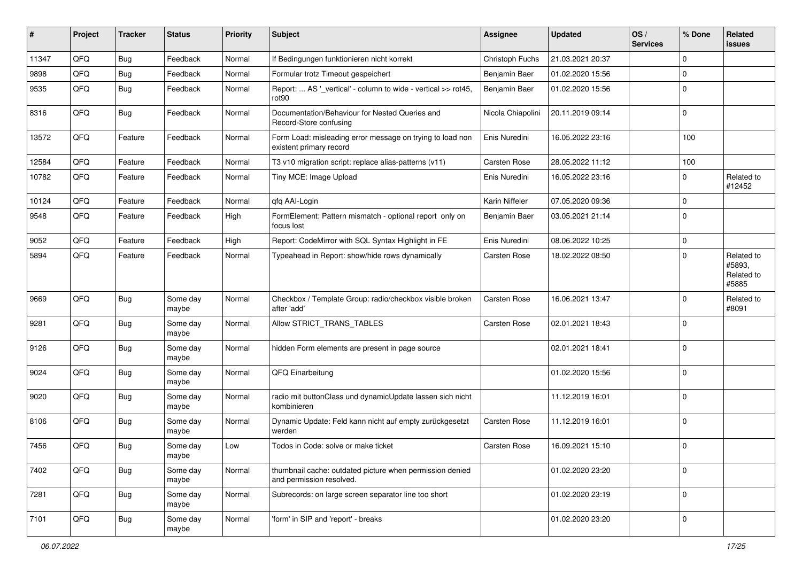| ∦     | Project | <b>Tracker</b> | <b>Status</b>     | <b>Priority</b> | Subject                                                                              | Assignee            | <b>Updated</b>   | OS/<br><b>Services</b> | % Done       | <b>Related</b><br><b>issues</b>             |
|-------|---------|----------------|-------------------|-----------------|--------------------------------------------------------------------------------------|---------------------|------------------|------------------------|--------------|---------------------------------------------|
| 11347 | QFQ     | Bug            | Feedback          | Normal          | If Bedingungen funktionieren nicht korrekt                                           | Christoph Fuchs     | 21.03.2021 20:37 |                        | $\mathbf 0$  |                                             |
| 9898  | QFQ     | Bug            | Feedback          | Normal          | Formular trotz Timeout gespeichert                                                   | Benjamin Baer       | 01.02.2020 15:56 |                        | $\mathbf 0$  |                                             |
| 9535  | QFQ     | Bug            | Feedback          | Normal          | Report:  AS '_vertical' - column to wide - vertical >> rot45,<br>rot90               | Benjamin Baer       | 01.02.2020 15:56 |                        | $\mathbf 0$  |                                             |
| 8316  | QFQ     | <b>Bug</b>     | Feedback          | Normal          | Documentation/Behaviour for Nested Queries and<br>Record-Store confusing             | Nicola Chiapolini   | 20.11.2019 09:14 |                        | $\mathbf 0$  |                                             |
| 13572 | QFQ     | Feature        | Feedback          | Normal          | Form Load: misleading error message on trying to load non<br>existent primary record | Enis Nuredini       | 16.05.2022 23:16 |                        | 100          |                                             |
| 12584 | QFQ     | Feature        | Feedback          | Normal          | T3 v10 migration script: replace alias-patterns (v11)                                | Carsten Rose        | 28.05.2022 11:12 |                        | 100          |                                             |
| 10782 | QFQ     | Feature        | Feedback          | Normal          | Tiny MCE: Image Upload                                                               | Enis Nuredini       | 16.05.2022 23:16 |                        | $^{\circ}$ 0 | Related to<br>#12452                        |
| 10124 | QFQ     | Feature        | Feedback          | Normal          | qfq AAI-Login                                                                        | Karin Niffeler      | 07.05.2020 09:36 |                        | $\mathbf 0$  |                                             |
| 9548  | QFQ     | Feature        | Feedback          | High            | FormElement: Pattern mismatch - optional report only on<br>focus lost                | Benjamin Baer       | 03.05.2021 21:14 |                        | $\mathbf 0$  |                                             |
| 9052  | QFQ     | Feature        | Feedback          | High            | Report: CodeMirror with SQL Syntax Highlight in FE                                   | Enis Nuredini       | 08.06.2022 10:25 |                        | $\mathbf 0$  |                                             |
| 5894  | QFQ     | Feature        | Feedback          | Normal          | Typeahead in Report: show/hide rows dynamically                                      | <b>Carsten Rose</b> | 18.02.2022 08:50 |                        | $\mathbf 0$  | Related to<br>#5893,<br>Related to<br>#5885 |
| 9669  | QFQ     | <b>Bug</b>     | Some day<br>maybe | Normal          | Checkbox / Template Group: radio/checkbox visible broken<br>after 'add'              | Carsten Rose        | 16.06.2021 13:47 |                        | $\mathbf 0$  | Related to<br>#8091                         |
| 9281  | QFQ     | Bug            | Some day<br>maybe | Normal          | Allow STRICT_TRANS_TABLES                                                            | Carsten Rose        | 02.01.2021 18:43 |                        | $\mathbf 0$  |                                             |
| 9126  | QFQ     | Bug            | Some day<br>maybe | Normal          | hidden Form elements are present in page source                                      |                     | 02.01.2021 18:41 |                        | $\mathbf 0$  |                                             |
| 9024  | QFQ     | <b>Bug</b>     | Some day<br>maybe | Normal          | QFQ Einarbeitung                                                                     |                     | 01.02.2020 15:56 |                        | $\mathbf 0$  |                                             |
| 9020  | QFQ     | Bug            | Some day<br>maybe | Normal          | radio mit buttonClass und dynamicUpdate lassen sich nicht<br>kombinieren             |                     | 11.12.2019 16:01 |                        | $\mathbf 0$  |                                             |
| 8106  | QFQ     | Bug            | Some day<br>maybe | Normal          | Dynamic Update: Feld kann nicht auf empty zurückgesetzt<br>werden                    | Carsten Rose        | 11.12.2019 16:01 |                        | $\mathbf 0$  |                                             |
| 7456  | QFQ     | Bug            | Some day<br>maybe | Low             | Todos in Code: solve or make ticket                                                  | <b>Carsten Rose</b> | 16.09.2021 15:10 |                        | $\mathbf 0$  |                                             |
| 7402  | QFQ     | Bug            | Some day<br>maybe | Normal          | thumbnail cache: outdated picture when permission denied<br>and permission resolved. |                     | 01.02.2020 23:20 |                        | $\mathbf 0$  |                                             |
| 7281  | QFQ     | <b>Bug</b>     | Some day<br>maybe | Normal          | Subrecords: on large screen separator line too short                                 |                     | 01.02.2020 23:19 |                        | $\mathbf 0$  |                                             |
| 7101  | QFQ     | <b>Bug</b>     | Some day<br>maybe | Normal          | 'form' in SIP and 'report' - breaks                                                  |                     | 01.02.2020 23:20 |                        | $\mathsf 0$  |                                             |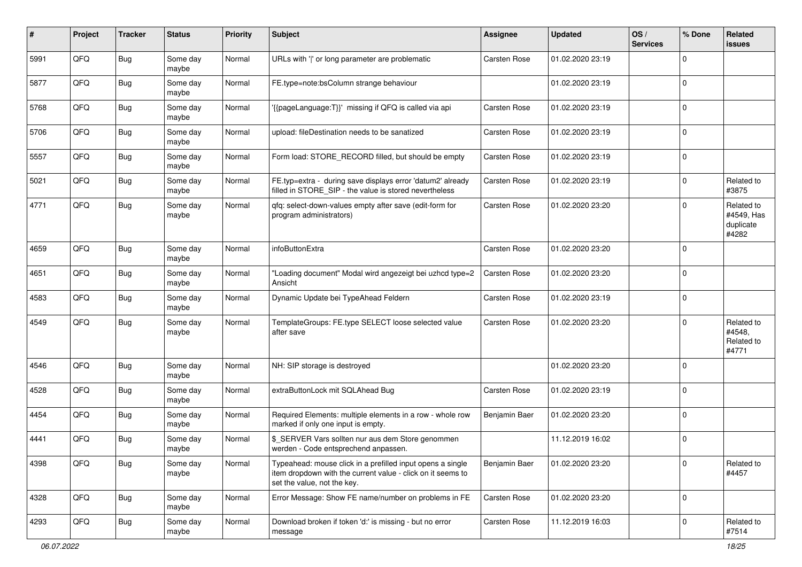| #    | Project | <b>Tracker</b> | <b>Status</b>     | <b>Priority</b> | <b>Subject</b>                                                                                                                                           | <b>Assignee</b>     | <b>Updated</b>   | OS/<br><b>Services</b> | % Done      | Related<br><b>issues</b>                       |
|------|---------|----------------|-------------------|-----------------|----------------------------------------------------------------------------------------------------------------------------------------------------------|---------------------|------------------|------------------------|-------------|------------------------------------------------|
| 5991 | QFQ     | Bug            | Some day<br>maybe | Normal          | URLs with ' ' or long parameter are problematic                                                                                                          | Carsten Rose        | 01.02.2020 23:19 |                        | $\Omega$    |                                                |
| 5877 | QFQ     | Bug            | Some day<br>maybe | Normal          | FE.type=note:bsColumn strange behaviour                                                                                                                  |                     | 01.02.2020 23:19 |                        | $\mathbf 0$ |                                                |
| 5768 | QFQ     | Bug            | Some day<br>maybe | Normal          | '{{pageLanguage:T}}' missing if QFQ is called via api                                                                                                    | Carsten Rose        | 01.02.2020 23:19 |                        | $\Omega$    |                                                |
| 5706 | QFQ     | <b>Bug</b>     | Some day<br>maybe | Normal          | upload: fileDestination needs to be sanatized                                                                                                            | Carsten Rose        | 01.02.2020 23:19 |                        | 0           |                                                |
| 5557 | QFQ     | <b>Bug</b>     | Some day<br>maybe | Normal          | Form load: STORE_RECORD filled, but should be empty                                                                                                      | <b>Carsten Rose</b> | 01.02.2020 23:19 |                        | $\mathbf 0$ |                                                |
| 5021 | QFQ     | <b>Bug</b>     | Some day<br>maybe | Normal          | FE.typ=extra - during save displays error 'datum2' already<br>filled in STORE_SIP - the value is stored nevertheless                                     | Carsten Rose        | 01.02.2020 23:19 |                        | $\Omega$    | Related to<br>#3875                            |
| 4771 | QFQ     | <b>Bug</b>     | Some day<br>maybe | Normal          | qfq: select-down-values empty after save (edit-form for<br>program administrators)                                                                       | Carsten Rose        | 01.02.2020 23:20 |                        | $\Omega$    | Related to<br>#4549, Has<br>duplicate<br>#4282 |
| 4659 | QFQ     | Bug            | Some day<br>maybe | Normal          | infoButtonExtra                                                                                                                                          | Carsten Rose        | 01.02.2020 23:20 |                        | $\mathbf 0$ |                                                |
| 4651 | QFQ     | Bug            | Some day<br>maybe | Normal          | "Loading document" Modal wird angezeigt bei uzhcd type=2<br>Ansicht                                                                                      | Carsten Rose        | 01.02.2020 23:20 |                        | $\mathbf 0$ |                                                |
| 4583 | QFQ     | Bug            | Some day<br>maybe | Normal          | Dynamic Update bei TypeAhead Feldern                                                                                                                     | Carsten Rose        | 01.02.2020 23:19 |                        | $\mathbf 0$ |                                                |
| 4549 | QFQ     | Bug            | Some day<br>maybe | Normal          | TemplateGroups: FE.type SELECT loose selected value<br>after save                                                                                        | Carsten Rose        | 01.02.2020 23:20 |                        | $\Omega$    | Related to<br>#4548,<br>Related to<br>#4771    |
| 4546 | QFQ     | Bug            | Some day<br>maybe | Normal          | NH: SIP storage is destroyed                                                                                                                             |                     | 01.02.2020 23:20 |                        | $\mathbf 0$ |                                                |
| 4528 | QFQ     | Bug            | Some day<br>maybe | Normal          | extraButtonLock mit SQLAhead Bug                                                                                                                         | Carsten Rose        | 01.02.2020 23:19 |                        | $\mathbf 0$ |                                                |
| 4454 | QFQ     | Bug            | Some day<br>maybe | Normal          | Required Elements: multiple elements in a row - whole row<br>marked if only one input is empty.                                                          | Benjamin Baer       | 01.02.2020 23:20 |                        | $\mathbf 0$ |                                                |
| 4441 | QFQ     | <b>Bug</b>     | Some day<br>maybe | Normal          | \$ SERVER Vars sollten nur aus dem Store genommen<br>werden - Code entsprechend anpassen.                                                                |                     | 11.12.2019 16:02 |                        | $\mathbf 0$ |                                                |
| 4398 | QFQ     | <b>Bug</b>     | Some day<br>maybe | Normal          | Typeahead: mouse click in a prefilled input opens a single<br>item dropdown with the current value - click on it seems to<br>set the value, not the key. | Benjamin Baer       | 01.02.2020 23:20 |                        | $\mathbf 0$ | Related to<br>#4457                            |
| 4328 | QFQ     | Bug            | Some day<br>maybe | Normal          | Error Message: Show FE name/number on problems in FE                                                                                                     | Carsten Rose        | 01.02.2020 23:20 |                        | $\mathbf 0$ |                                                |
| 4293 | QFQ     | Bug            | Some day<br>maybe | Normal          | Download broken if token 'd:' is missing - but no error<br>message                                                                                       | Carsten Rose        | 11.12.2019 16:03 |                        | $\mathbf 0$ | Related to<br>#7514                            |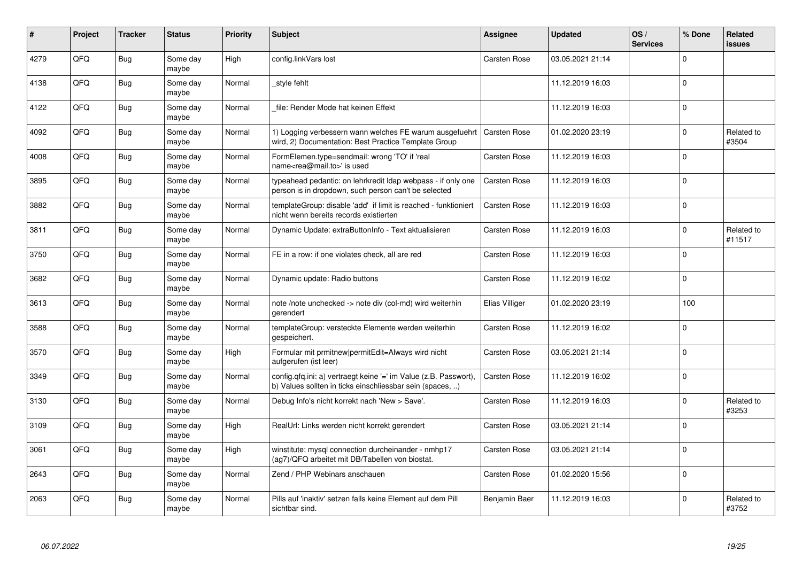| #    | Project | <b>Tracker</b> | <b>Status</b>     | <b>Priority</b> | <b>Subject</b>                                                                                                                | <b>Assignee</b>     | <b>Updated</b>   | OS/<br><b>Services</b> | % Done      | Related<br>issues    |
|------|---------|----------------|-------------------|-----------------|-------------------------------------------------------------------------------------------------------------------------------|---------------------|------------------|------------------------|-------------|----------------------|
| 4279 | QFQ     | Bug            | Some day<br>maybe | High            | config.linkVars lost                                                                                                          | <b>Carsten Rose</b> | 03.05.2021 21:14 |                        | $\Omega$    |                      |
| 4138 | QFQ     | Bug            | Some day<br>maybe | Normal          | style fehlt                                                                                                                   |                     | 11.12.2019 16:03 |                        | $\Omega$    |                      |
| 4122 | QFQ     | <b>Bug</b>     | Some day<br>maybe | Normal          | file: Render Mode hat keinen Effekt                                                                                           |                     | 11.12.2019 16:03 |                        | $\mathbf 0$ |                      |
| 4092 | QFQ     | <b>Bug</b>     | Some day<br>maybe | Normal          | 1) Logging verbessern wann welches FE warum ausgefuehrt<br>wird, 2) Documentation: Best Practice Template Group               | <b>Carsten Rose</b> | 01.02.2020 23:19 |                        | $\Omega$    | Related to<br>#3504  |
| 4008 | QFQ     | <b>Bug</b>     | Some day<br>maybe | Normal          | FormElemen.type=sendmail: wrong 'TO' if 'real<br>name <rea@mail.to>' is used</rea@mail.to>                                    | <b>Carsten Rose</b> | 11.12.2019 16:03 |                        | $\mathbf 0$ |                      |
| 3895 | QFQ     | Bug            | Some day<br>maybe | Normal          | typeahead pedantic: on lehrkredit Idap webpass - if only one<br>person is in dropdown, such person can't be selected          | Carsten Rose        | 11.12.2019 16:03 |                        | $\Omega$    |                      |
| 3882 | QFQ     | Bug            | Some day<br>maybe | Normal          | templateGroup: disable 'add' if limit is reached - funktioniert<br>nicht wenn bereits records existierten                     | <b>Carsten Rose</b> | 11.12.2019 16:03 |                        | $\mathbf 0$ |                      |
| 3811 | QFQ     | Bug            | Some day<br>maybe | Normal          | Dynamic Update: extraButtonInfo - Text aktualisieren                                                                          | <b>Carsten Rose</b> | 11.12.2019 16:03 |                        | $\Omega$    | Related to<br>#11517 |
| 3750 | QFQ     | Bug            | Some day<br>maybe | Normal          | FE in a row: if one violates check, all are red                                                                               | Carsten Rose        | 11.12.2019 16:03 |                        | $\Omega$    |                      |
| 3682 | QFQ     | Bug            | Some day<br>maybe | Normal          | Dynamic update: Radio buttons                                                                                                 | <b>Carsten Rose</b> | 11.12.2019 16:02 |                        | $\mathbf 0$ |                      |
| 3613 | QFQ     | Bug            | Some day<br>maybe | Normal          | note /note unchecked -> note div (col-md) wird weiterhin<br>gerendert                                                         | Elias Villiger      | 01.02.2020 23:19 |                        | 100         |                      |
| 3588 | QFQ     | <b>Bug</b>     | Some day<br>maybe | Normal          | templateGroup: versteckte Elemente werden weiterhin<br>gespeichert.                                                           | Carsten Rose        | 11.12.2019 16:02 |                        | $\mathbf 0$ |                      |
| 3570 | QFQ     | <b>Bug</b>     | Some day<br>maybe | High            | Formular mit prmitnew permitEdit=Always wird nicht<br>aufgerufen (ist leer)                                                   | <b>Carsten Rose</b> | 03.05.2021 21:14 |                        | $\mathbf 0$ |                      |
| 3349 | QFQ     | Bug            | Some day<br>maybe | Normal          | config.qfq.ini: a) vertraegt keine '=' im Value (z.B. Passwort),<br>b) Values sollten in ticks einschliessbar sein (spaces, ) | <b>Carsten Rose</b> | 11.12.2019 16:02 |                        | $\mathbf 0$ |                      |
| 3130 | QFQ     | <b>Bug</b>     | Some day<br>maybe | Normal          | Debug Info's nicht korrekt nach 'New > Save'.                                                                                 | Carsten Rose        | 11.12.2019 16:03 |                        | $\Omega$    | Related to<br>#3253  |
| 3109 | QFQ     | <b>Bug</b>     | Some day<br>maybe | High            | RealUrl: Links werden nicht korrekt gerendert                                                                                 | Carsten Rose        | 03.05.2021 21:14 |                        | $\Omega$    |                      |
| 3061 | QFQ     | Bug            | Some day<br>maybe | High            | winstitute: mysql connection durcheinander - nmhp17<br>(ag7)/QFQ arbeitet mit DB/Tabellen von biostat.                        | <b>Carsten Rose</b> | 03.05.2021 21:14 |                        | $\Omega$    |                      |
| 2643 | QFQ     | <b>Bug</b>     | Some day<br>maybe | Normal          | Zend / PHP Webinars anschauen                                                                                                 | Carsten Rose        | 01.02.2020 15:56 |                        | $\mathbf 0$ |                      |
| 2063 | QFQ     | <b>Bug</b>     | Some day<br>maybe | Normal          | Pills auf 'inaktiv' setzen falls keine Element auf dem Pill<br>sichtbar sind.                                                 | Benjamin Baer       | 11.12.2019 16:03 |                        | $\Omega$    | Related to<br>#3752  |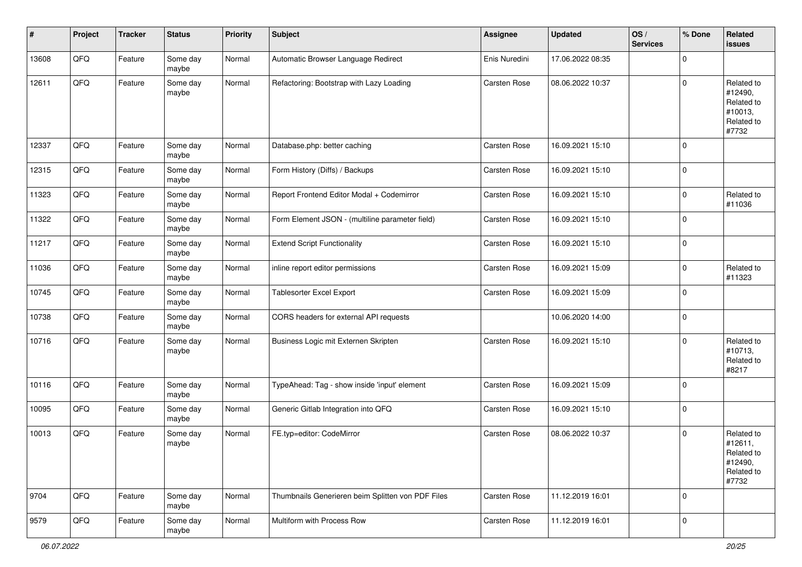| #     | Project | <b>Tracker</b> | <b>Status</b>     | <b>Priority</b> | <b>Subject</b>                                    | Assignee            | <b>Updated</b>   | OS/<br><b>Services</b> | % Done      | Related<br><b>issues</b>                                              |
|-------|---------|----------------|-------------------|-----------------|---------------------------------------------------|---------------------|------------------|------------------------|-------------|-----------------------------------------------------------------------|
| 13608 | QFQ     | Feature        | Some day<br>maybe | Normal          | Automatic Browser Language Redirect               | Enis Nuredini       | 17.06.2022 08:35 |                        | $\mathbf 0$ |                                                                       |
| 12611 | QFQ     | Feature        | Some day<br>maybe | Normal          | Refactoring: Bootstrap with Lazy Loading          | Carsten Rose        | 08.06.2022 10:37 |                        | $\pmb{0}$   | Related to<br>#12490,<br>Related to<br>#10013,<br>Related to<br>#7732 |
| 12337 | QFQ     | Feature        | Some day<br>maybe | Normal          | Database.php: better caching                      | Carsten Rose        | 16.09.2021 15:10 |                        | $\mathbf 0$ |                                                                       |
| 12315 | QFQ     | Feature        | Some day<br>maybe | Normal          | Form History (Diffs) / Backups                    | Carsten Rose        | 16.09.2021 15:10 |                        | $\mathbf 0$ |                                                                       |
| 11323 | QFQ     | Feature        | Some day<br>maybe | Normal          | Report Frontend Editor Modal + Codemirror         | Carsten Rose        | 16.09.2021 15:10 |                        | $\pmb{0}$   | Related to<br>#11036                                                  |
| 11322 | QFQ     | Feature        | Some day<br>maybe | Normal          | Form Element JSON - (multiline parameter field)   | Carsten Rose        | 16.09.2021 15:10 |                        | 0           |                                                                       |
| 11217 | QFQ     | Feature        | Some day<br>maybe | Normal          | <b>Extend Script Functionality</b>                | Carsten Rose        | 16.09.2021 15:10 |                        | $\pmb{0}$   |                                                                       |
| 11036 | QFQ     | Feature        | Some day<br>maybe | Normal          | inline report editor permissions                  | <b>Carsten Rose</b> | 16.09.2021 15:09 |                        | $\pmb{0}$   | Related to<br>#11323                                                  |
| 10745 | QFQ     | Feature        | Some day<br>maybe | Normal          | Tablesorter Excel Export                          | Carsten Rose        | 16.09.2021 15:09 |                        | $\mathbf 0$ |                                                                       |
| 10738 | QFQ     | Feature        | Some day<br>maybe | Normal          | CORS headers for external API requests            |                     | 10.06.2020 14:00 |                        | $\mathbf 0$ |                                                                       |
| 10716 | QFQ     | Feature        | Some day<br>maybe | Normal          | Business Logic mit Externen Skripten              | Carsten Rose        | 16.09.2021 15:10 |                        | $\mathbf 0$ | Related to<br>#10713,<br>Related to<br>#8217                          |
| 10116 | QFQ     | Feature        | Some day<br>maybe | Normal          | TypeAhead: Tag - show inside 'input' element      | Carsten Rose        | 16.09.2021 15:09 |                        | $\mathbf 0$ |                                                                       |
| 10095 | QFQ     | Feature        | Some day<br>maybe | Normal          | Generic Gitlab Integration into QFQ               | Carsten Rose        | 16.09.2021 15:10 |                        | $\pmb{0}$   |                                                                       |
| 10013 | QFQ     | Feature        | Some day<br>maybe | Normal          | FE.typ=editor: CodeMirror                         | <b>Carsten Rose</b> | 08.06.2022 10:37 |                        | $\mathbf 0$ | Related to<br>#12611,<br>Related to<br>#12490,<br>Related to<br>#7732 |
| 9704  | QFQ     | Feature        | Some day<br>maybe | Normal          | Thumbnails Generieren beim Splitten von PDF Files | Carsten Rose        | 11.12.2019 16:01 |                        | $\mathbf 0$ |                                                                       |
| 9579  | QFQ     | Feature        | Some day<br>maybe | Normal          | Multiform with Process Row                        | Carsten Rose        | 11.12.2019 16:01 |                        | $\pmb{0}$   |                                                                       |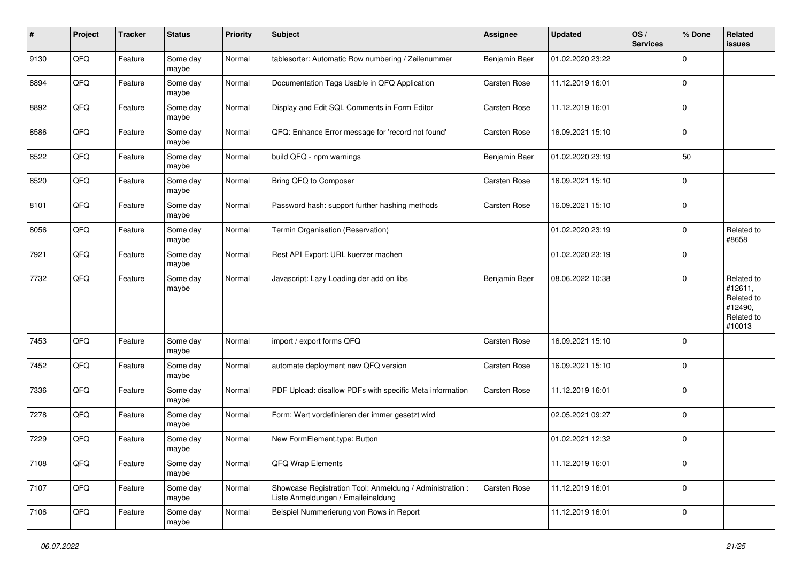| #    | Project | <b>Tracker</b> | <b>Status</b>     | <b>Priority</b> | <b>Subject</b>                                                                                 | Assignee      | <b>Updated</b>   | OS/<br><b>Services</b> | % Done      | <b>Related</b><br><b>issues</b>                                        |
|------|---------|----------------|-------------------|-----------------|------------------------------------------------------------------------------------------------|---------------|------------------|------------------------|-------------|------------------------------------------------------------------------|
| 9130 | QFQ     | Feature        | Some day<br>maybe | Normal          | tablesorter: Automatic Row numbering / Zeilenummer                                             | Benjamin Baer | 01.02.2020 23:22 |                        | $\mathbf 0$ |                                                                        |
| 8894 | QFQ     | Feature        | Some day<br>maybe | Normal          | Documentation Tags Usable in QFQ Application                                                   | Carsten Rose  | 11.12.2019 16:01 |                        | $\mathbf 0$ |                                                                        |
| 8892 | QFQ     | Feature        | Some day<br>maybe | Normal          | Display and Edit SQL Comments in Form Editor                                                   | Carsten Rose  | 11.12.2019 16:01 |                        | $\mathbf 0$ |                                                                        |
| 8586 | QFQ     | Feature        | Some day<br>maybe | Normal          | QFQ: Enhance Error message for 'record not found'                                              | Carsten Rose  | 16.09.2021 15:10 |                        | $\mathbf 0$ |                                                                        |
| 8522 | QFQ     | Feature        | Some day<br>maybe | Normal          | build QFQ - npm warnings                                                                       | Benjamin Baer | 01.02.2020 23:19 |                        | 50          |                                                                        |
| 8520 | QFQ     | Feature        | Some day<br>maybe | Normal          | Bring QFQ to Composer                                                                          | Carsten Rose  | 16.09.2021 15:10 |                        | $\mathbf 0$ |                                                                        |
| 8101 | QFQ     | Feature        | Some day<br>maybe | Normal          | Password hash: support further hashing methods                                                 | Carsten Rose  | 16.09.2021 15:10 |                        | $\mathbf 0$ |                                                                        |
| 8056 | QFQ     | Feature        | Some day<br>maybe | Normal          | Termin Organisation (Reservation)                                                              |               | 01.02.2020 23:19 |                        | $\mathbf 0$ | Related to<br>#8658                                                    |
| 7921 | QFQ     | Feature        | Some day<br>maybe | Normal          | Rest API Export: URL kuerzer machen                                                            |               | 01.02.2020 23:19 |                        | $\mathbf 0$ |                                                                        |
| 7732 | QFQ     | Feature        | Some day<br>maybe | Normal          | Javascript: Lazy Loading der add on libs                                                       | Benjamin Baer | 08.06.2022 10:38 |                        | $\mathbf 0$ | Related to<br>#12611,<br>Related to<br>#12490,<br>Related to<br>#10013 |
| 7453 | QFQ     | Feature        | Some day<br>maybe | Normal          | import / export forms QFQ                                                                      | Carsten Rose  | 16.09.2021 15:10 |                        | $\mathbf 0$ |                                                                        |
| 7452 | QFQ     | Feature        | Some day<br>maybe | Normal          | automate deployment new QFQ version                                                            | Carsten Rose  | 16.09.2021 15:10 |                        | $\mathbf 0$ |                                                                        |
| 7336 | QFQ     | Feature        | Some day<br>maybe | Normal          | PDF Upload: disallow PDFs with specific Meta information                                       | Carsten Rose  | 11.12.2019 16:01 |                        | $\mathbf 0$ |                                                                        |
| 7278 | QFQ     | Feature        | Some day<br>maybe | Normal          | Form: Wert vordefinieren der immer gesetzt wird                                                |               | 02.05.2021 09:27 |                        | $\mathbf 0$ |                                                                        |
| 7229 | QFQ     | Feature        | Some day<br>maybe | Normal          | New FormElement.type: Button                                                                   |               | 01.02.2021 12:32 |                        | $\mathbf 0$ |                                                                        |
| 7108 | QFQ     | Feature        | Some day<br>maybe | Normal          | QFQ Wrap Elements                                                                              |               | 11.12.2019 16:01 |                        | $\mathsf 0$ |                                                                        |
| 7107 | QFQ     | Feature        | Some day<br>maybe | Normal          | Showcase Registration Tool: Anmeldung / Administration :<br>Liste Anmeldungen / Emaileinaldung | Carsten Rose  | 11.12.2019 16:01 |                        | $\mathsf 0$ |                                                                        |
| 7106 | QFQ     | Feature        | Some day<br>maybe | Normal          | Beispiel Nummerierung von Rows in Report                                                       |               | 11.12.2019 16:01 |                        | $\mathbf 0$ |                                                                        |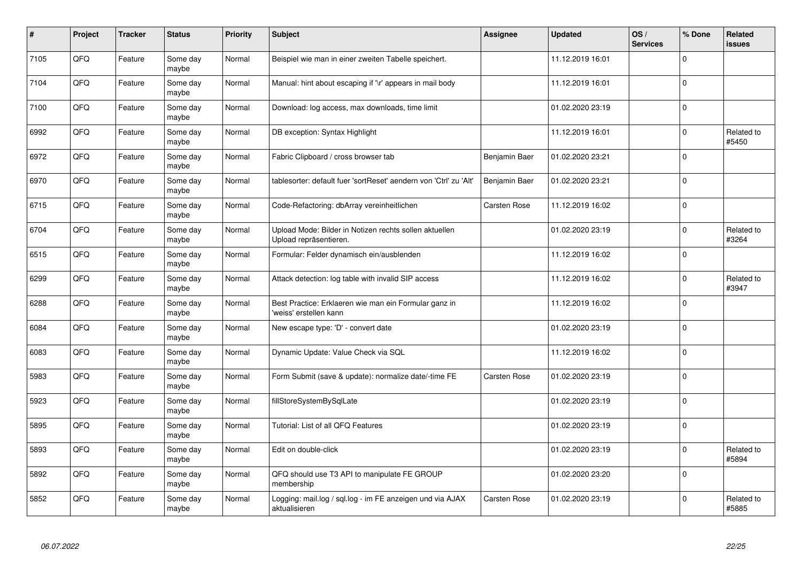| #    | Project | <b>Tracker</b> | <b>Status</b>     | <b>Priority</b> | <b>Subject</b>                                                                   | <b>Assignee</b>     | <b>Updated</b>   | OS/<br><b>Services</b> | % Done      | Related<br><b>issues</b> |
|------|---------|----------------|-------------------|-----------------|----------------------------------------------------------------------------------|---------------------|------------------|------------------------|-------------|--------------------------|
| 7105 | QFQ     | Feature        | Some day<br>maybe | Normal          | Beispiel wie man in einer zweiten Tabelle speichert.                             |                     | 11.12.2019 16:01 |                        | $\Omega$    |                          |
| 7104 | QFQ     | Feature        | Some day<br>maybe | Normal          | Manual: hint about escaping if '\r' appears in mail body                         |                     | 11.12.2019 16:01 |                        | $\mathbf 0$ |                          |
| 7100 | QFQ     | Feature        | Some day<br>maybe | Normal          | Download: log access, max downloads, time limit                                  |                     | 01.02.2020 23:19 |                        | $\mathbf 0$ |                          |
| 6992 | QFQ     | Feature        | Some day<br>maybe | Normal          | DB exception: Syntax Highlight                                                   |                     | 11.12.2019 16:01 |                        | $\Omega$    | Related to<br>#5450      |
| 6972 | QFQ     | Feature        | Some day<br>maybe | Normal          | Fabric Clipboard / cross browser tab                                             | Benjamin Baer       | 01.02.2020 23:21 |                        | $\mathbf 0$ |                          |
| 6970 | QFQ     | Feature        | Some day<br>maybe | Normal          | tablesorter: default fuer 'sortReset' aendern von 'Ctrl' zu 'Alt'                | Benjamin Baer       | 01.02.2020 23:21 |                        | $\mathbf 0$ |                          |
| 6715 | QFQ     | Feature        | Some day<br>maybe | Normal          | Code-Refactoring: dbArray vereinheitlichen                                       | Carsten Rose        | 11.12.2019 16:02 |                        | $\Omega$    |                          |
| 6704 | QFQ     | Feature        | Some day<br>maybe | Normal          | Upload Mode: Bilder in Notizen rechts sollen aktuellen<br>Upload repräsentieren. |                     | 01.02.2020 23:19 |                        | $\Omega$    | Related to<br>#3264      |
| 6515 | QFQ     | Feature        | Some day<br>maybe | Normal          | Formular: Felder dynamisch ein/ausblenden                                        |                     | 11.12.2019 16:02 |                        | $\Omega$    |                          |
| 6299 | QFQ     | Feature        | Some day<br>maybe | Normal          | Attack detection: log table with invalid SIP access                              |                     | 11.12.2019 16:02 |                        | $\mathbf 0$ | Related to<br>#3947      |
| 6288 | QFQ     | Feature        | Some day<br>maybe | Normal          | Best Practice: Erklaeren wie man ein Formular ganz in<br>'weiss' erstellen kann  |                     | 11.12.2019 16:02 |                        | $\Omega$    |                          |
| 6084 | QFQ     | Feature        | Some day<br>maybe | Normal          | New escape type: 'D' - convert date                                              |                     | 01.02.2020 23:19 |                        | $\mathbf 0$ |                          |
| 6083 | QFQ     | Feature        | Some day<br>maybe | Normal          | Dynamic Update: Value Check via SQL                                              |                     | 11.12.2019 16:02 |                        | $\mathbf 0$ |                          |
| 5983 | QFQ     | Feature        | Some day<br>maybe | Normal          | Form Submit (save & update): normalize date/-time FE                             | <b>Carsten Rose</b> | 01.02.2020 23:19 |                        | $\pmb{0}$   |                          |
| 5923 | QFQ     | Feature        | Some day<br>maybe | Normal          | fillStoreSystemBySqlLate                                                         |                     | 01.02.2020 23:19 |                        | $\Omega$    |                          |
| 5895 | QFQ     | Feature        | Some day<br>maybe | Normal          | Tutorial: List of all QFQ Features                                               |                     | 01.02.2020 23:19 |                        | $\mathbf 0$ |                          |
| 5893 | QFQ     | Feature        | Some day<br>maybe | Normal          | Edit on double-click                                                             |                     | 01.02.2020 23:19 |                        | $\mathbf 0$ | Related to<br>#5894      |
| 5892 | QFQ     | Feature        | Some day<br>maybe | Normal          | QFQ should use T3 API to manipulate FE GROUP<br>membership                       |                     | 01.02.2020 23:20 |                        | $\Omega$    |                          |
| 5852 | QFQ     | Feature        | Some day<br>maybe | Normal          | Logging: mail.log / sql.log - im FE anzeigen und via AJAX<br>aktualisieren       | <b>Carsten Rose</b> | 01.02.2020 23:19 |                        | $\Omega$    | Related to<br>#5885      |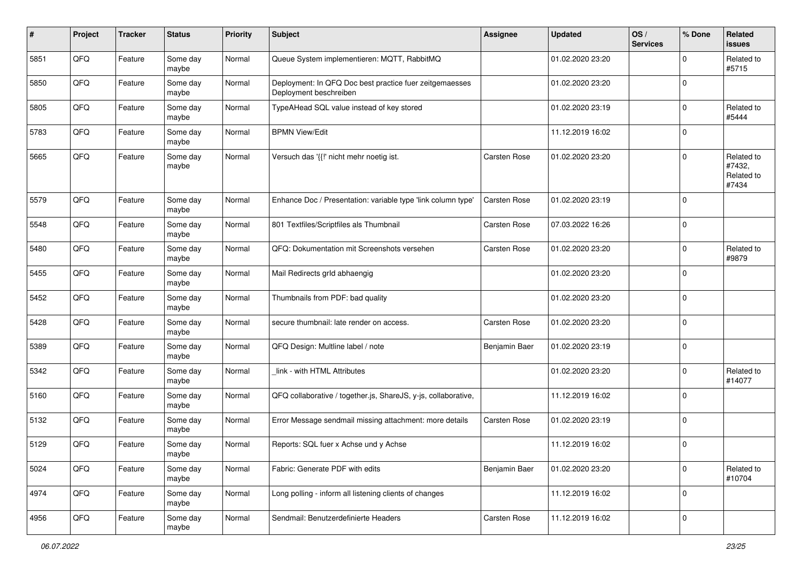| #    | Project | <b>Tracker</b> | <b>Status</b>     | <b>Priority</b> | <b>Subject</b>                                                                    | Assignee            | <b>Updated</b>   | OS/<br><b>Services</b> | % Done      | Related<br><b>issues</b>                    |
|------|---------|----------------|-------------------|-----------------|-----------------------------------------------------------------------------------|---------------------|------------------|------------------------|-------------|---------------------------------------------|
| 5851 | QFQ     | Feature        | Some day<br>maybe | Normal          | Queue System implementieren: MQTT, RabbitMQ                                       |                     | 01.02.2020 23:20 |                        | $\Omega$    | Related to<br>#5715                         |
| 5850 | QFQ     | Feature        | Some day<br>maybe | Normal          | Deployment: In QFQ Doc best practice fuer zeitgemaesses<br>Deployment beschreiben |                     | 01.02.2020 23:20 |                        | $\mathbf 0$ |                                             |
| 5805 | QFQ     | Feature        | Some day<br>maybe | Normal          | TypeAHead SQL value instead of key stored                                         |                     | 01.02.2020 23:19 |                        | 0           | Related to<br>#5444                         |
| 5783 | QFQ     | Feature        | Some day<br>maybe | Normal          | <b>BPMN View/Edit</b>                                                             |                     | 11.12.2019 16:02 |                        | $\mathbf 0$ |                                             |
| 5665 | QFQ     | Feature        | Some day<br>maybe | Normal          | Versuch das '{{!' nicht mehr noetig ist.                                          | <b>Carsten Rose</b> | 01.02.2020 23:20 |                        | $\mathbf 0$ | Related to<br>#7432,<br>Related to<br>#7434 |
| 5579 | QFQ     | Feature        | Some day<br>maybe | Normal          | Enhance Doc / Presentation: variable type 'link column type'                      | Carsten Rose        | 01.02.2020 23:19 |                        | $\mathbf 0$ |                                             |
| 5548 | QFQ     | Feature        | Some day<br>maybe | Normal          | 801 Textfiles/Scriptfiles als Thumbnail                                           | <b>Carsten Rose</b> | 07.03.2022 16:26 |                        | $\mathbf 0$ |                                             |
| 5480 | QFQ     | Feature        | Some day<br>maybe | Normal          | QFQ: Dokumentation mit Screenshots versehen                                       | Carsten Rose        | 01.02.2020 23:20 |                        | $\mathbf 0$ | Related to<br>#9879                         |
| 5455 | QFQ     | Feature        | Some day<br>maybe | Normal          | Mail Redirects grld abhaengig                                                     |                     | 01.02.2020 23:20 |                        | $\mathbf 0$ |                                             |
| 5452 | QFQ     | Feature        | Some day<br>maybe | Normal          | Thumbnails from PDF: bad quality                                                  |                     | 01.02.2020 23:20 |                        | $\mathbf 0$ |                                             |
| 5428 | QFQ     | Feature        | Some day<br>maybe | Normal          | secure thumbnail: late render on access.                                          | <b>Carsten Rose</b> | 01.02.2020 23:20 |                        | $\mathbf 0$ |                                             |
| 5389 | QFQ     | Feature        | Some day<br>maybe | Normal          | QFQ Design: Multline label / note                                                 | Benjamin Baer       | 01.02.2020 23:19 |                        | $\mathbf 0$ |                                             |
| 5342 | QFQ     | Feature        | Some day<br>maybe | Normal          | link - with HTML Attributes                                                       |                     | 01.02.2020 23:20 |                        | $\mathbf 0$ | Related to<br>#14077                        |
| 5160 | QFQ     | Feature        | Some day<br>maybe | Normal          | QFQ collaborative / together.js, ShareJS, y-js, collaborative,                    |                     | 11.12.2019 16:02 |                        | $\Omega$    |                                             |
| 5132 | QFQ     | Feature        | Some day<br>maybe | Normal          | Error Message sendmail missing attachment: more details                           | <b>Carsten Rose</b> | 01.02.2020 23:19 |                        | $\mathbf 0$ |                                             |
| 5129 | QFQ     | Feature        | Some day<br>maybe | Normal          | Reports: SQL fuer x Achse und y Achse                                             |                     | 11.12.2019 16:02 |                        | $\mathbf 0$ |                                             |
| 5024 | QFQ     | Feature        | Some day<br>maybe | Normal          | Fabric: Generate PDF with edits                                                   | Benjamin Baer       | 01.02.2020 23:20 |                        | $\mathbf 0$ | Related to<br>#10704                        |
| 4974 | QFO     | Feature        | Some day<br>maybe | Normal          | Long polling - inform all listening clients of changes                            |                     | 11.12.2019 16:02 |                        | $\mathbf 0$ |                                             |
| 4956 | QFO     | Feature        | Some day<br>maybe | Normal          | Sendmail: Benutzerdefinierte Headers                                              | Carsten Rose        | 11.12.2019 16:02 |                        | $\mathbf 0$ |                                             |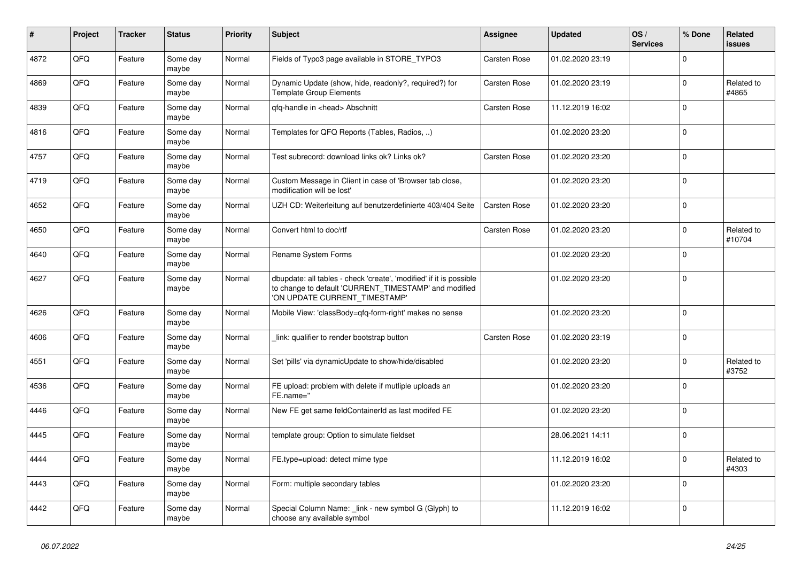| #    | Project | <b>Tracker</b> | <b>Status</b>     | <b>Priority</b> | <b>Subject</b>                                                                                                                                                | <b>Assignee</b>     | <b>Updated</b>   | OS/<br><b>Services</b> | % Done      | Related<br><b>issues</b> |
|------|---------|----------------|-------------------|-----------------|---------------------------------------------------------------------------------------------------------------------------------------------------------------|---------------------|------------------|------------------------|-------------|--------------------------|
| 4872 | QFQ     | Feature        | Some day<br>maybe | Normal          | Fields of Typo3 page available in STORE_TYPO3                                                                                                                 | <b>Carsten Rose</b> | 01.02.2020 23:19 |                        | $\mathbf 0$ |                          |
| 4869 | QFQ     | Feature        | Some day<br>maybe | Normal          | Dynamic Update (show, hide, readonly?, required?) for<br><b>Template Group Elements</b>                                                                       | Carsten Rose        | 01.02.2020 23:19 |                        | $\mathsf 0$ | Related to<br>#4865      |
| 4839 | QFQ     | Feature        | Some day<br>maybe | Normal          | qfq-handle in <head> Abschnitt</head>                                                                                                                         | Carsten Rose        | 11.12.2019 16:02 |                        | $\Omega$    |                          |
| 4816 | QFQ     | Feature        | Some day<br>maybe | Normal          | Templates for QFQ Reports (Tables, Radios, )                                                                                                                  |                     | 01.02.2020 23:20 |                        | $\mathbf 0$ |                          |
| 4757 | QFQ     | Feature        | Some day<br>maybe | Normal          | Test subrecord: download links ok? Links ok?                                                                                                                  | Carsten Rose        | 01.02.2020 23:20 |                        | $\mathbf 0$ |                          |
| 4719 | QFQ     | Feature        | Some day<br>maybe | Normal          | Custom Message in Client in case of 'Browser tab close,<br>modification will be lost'                                                                         |                     | 01.02.2020 23:20 |                        | $\mathbf 0$ |                          |
| 4652 | QFQ     | Feature        | Some day<br>maybe | Normal          | UZH CD: Weiterleitung auf benutzerdefinierte 403/404 Seite                                                                                                    | Carsten Rose        | 01.02.2020 23:20 |                        | $\mathbf 0$ |                          |
| 4650 | QFQ     | Feature        | Some day<br>maybe | Normal          | Convert html to doc/rtf                                                                                                                                       | <b>Carsten Rose</b> | 01.02.2020 23:20 |                        | $\mathbf 0$ | Related to<br>#10704     |
| 4640 | QFQ     | Feature        | Some day<br>maybe | Normal          | Rename System Forms                                                                                                                                           |                     | 01.02.2020 23:20 |                        | $\Omega$    |                          |
| 4627 | QFQ     | Feature        | Some day<br>maybe | Normal          | dbupdate: all tables - check 'create', 'modified' if it is possible<br>to change to default 'CURRENT_TIMESTAMP' and modified<br>'ON UPDATE CURRENT_TIMESTAMP' |                     | 01.02.2020 23:20 |                        | $\mathbf 0$ |                          |
| 4626 | QFQ     | Feature        | Some day<br>maybe | Normal          | Mobile View: 'classBody=qfq-form-right' makes no sense                                                                                                        |                     | 01.02.2020 23:20 |                        | $\mathbf 0$ |                          |
| 4606 | QFQ     | Feature        | Some day<br>maybe | Normal          | link: qualifier to render bootstrap button                                                                                                                    | <b>Carsten Rose</b> | 01.02.2020 23:19 |                        | $\Omega$    |                          |
| 4551 | QFQ     | Feature        | Some day<br>maybe | Normal          | Set 'pills' via dynamicUpdate to show/hide/disabled                                                                                                           |                     | 01.02.2020 23:20 |                        | $\mathbf 0$ | Related to<br>#3752      |
| 4536 | QFQ     | Feature        | Some day<br>maybe | Normal          | FE upload: problem with delete if mutliple uploads an<br>FE.name="                                                                                            |                     | 01.02.2020 23:20 |                        | $\mathbf 0$ |                          |
| 4446 | QFQ     | Feature        | Some day<br>maybe | Normal          | New FE get same feldContainerId as last modifed FE                                                                                                            |                     | 01.02.2020 23:20 |                        | $\mathbf 0$ |                          |
| 4445 | QFQ     | Feature        | Some day<br>maybe | Normal          | template group: Option to simulate fieldset                                                                                                                   |                     | 28.06.2021 14:11 |                        | $\mathsf 0$ |                          |
| 4444 | QFQ     | Feature        | Some day<br>maybe | Normal          | FE.type=upload: detect mime type                                                                                                                              |                     | 11.12.2019 16:02 |                        | $\Omega$    | Related to<br>#4303      |
| 4443 | QFQ     | Feature        | Some day<br>maybe | Normal          | Form: multiple secondary tables                                                                                                                               |                     | 01.02.2020 23:20 |                        | $\Omega$    |                          |
| 4442 | QFQ     | Feature        | Some day<br>maybe | Normal          | Special Column Name: link - new symbol G (Glyph) to<br>choose any available symbol                                                                            |                     | 11.12.2019 16:02 |                        | $\mathbf 0$ |                          |